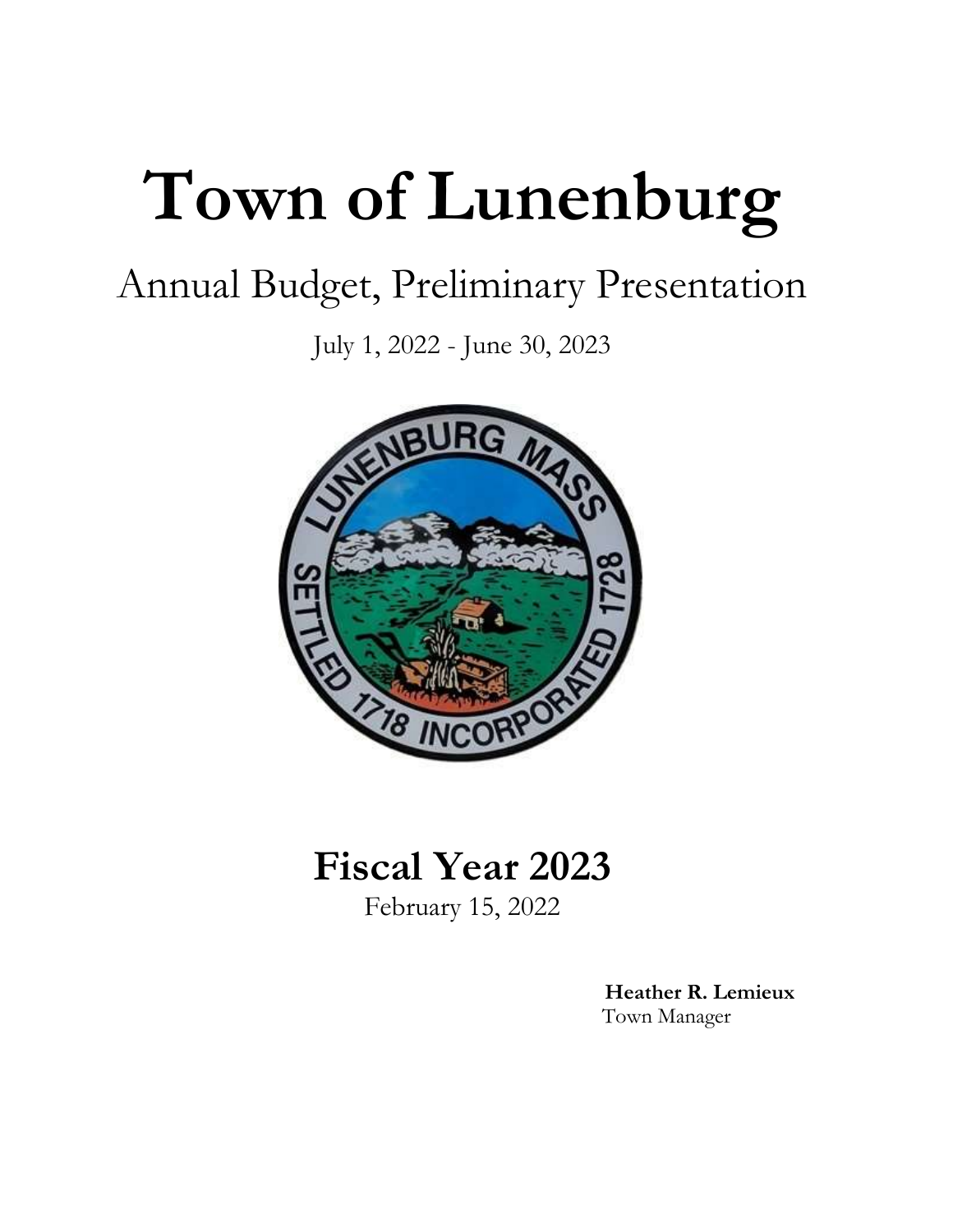# **Town of Lunenburg**

## Annual Budget, Preliminary Presentation

July 1, 2022 - June 30, 2023



## **Fiscal Year 2023**

February 15, 2022

 **Heather R. Lemieux** Town Manager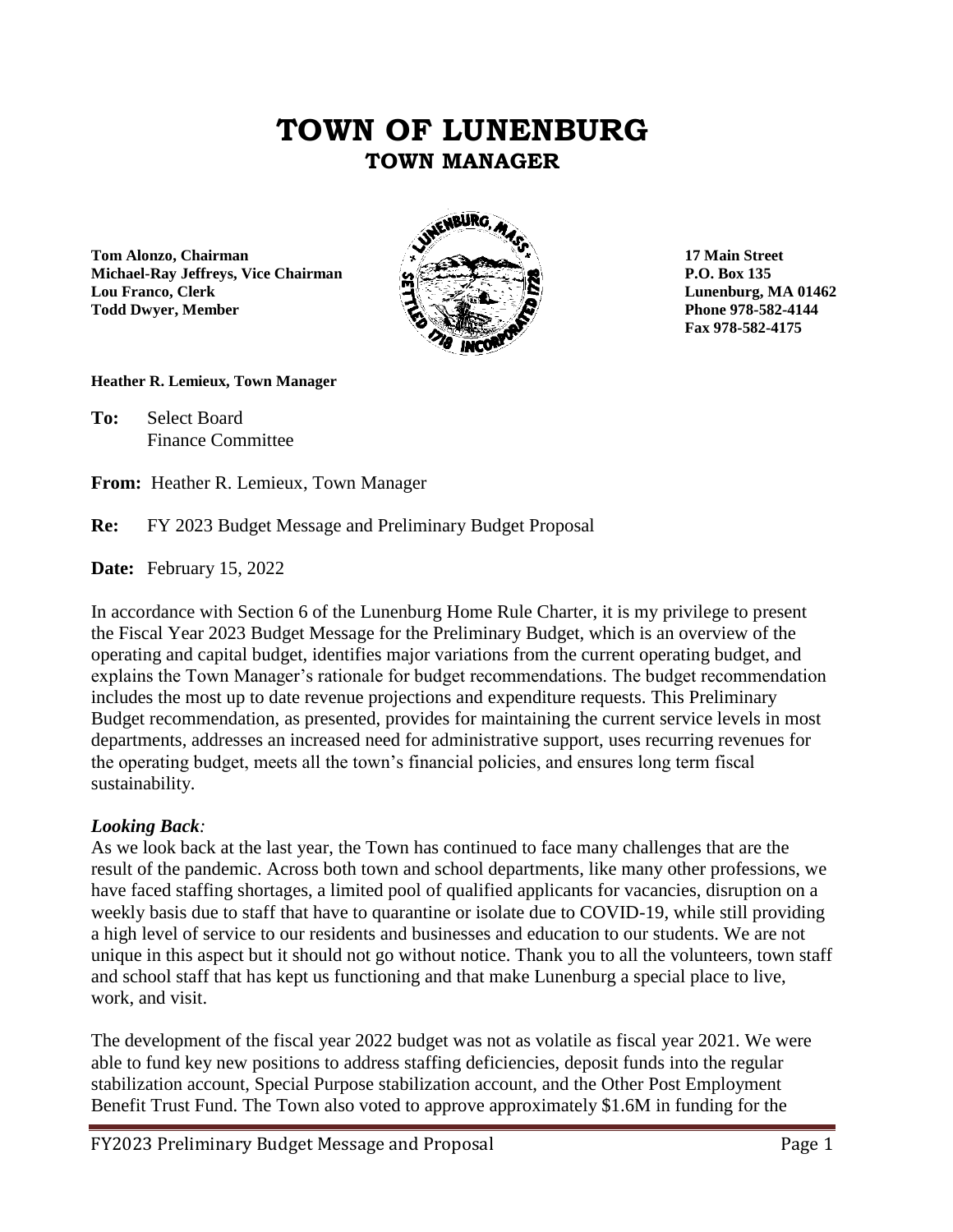### **TOWN OF LUNENBURG TOWN MANAGER**

**Tom Alonzo, Chairman 17 Main Street Michael-Ray Jeffreys, Vice Chairman P.O. Box 135 Lou Franco, Clerk Lunenburg, MA 01462 Todd Dwyer, Member Phone 978-582-4144** 



**Fax 978-582-4175**

#### **Heather R. Lemieux, Town Manager**

**To:** Select Board Finance Committee

**From:** Heather R. Lemieux, Town Manager

#### **Re:** FY 2023 Budget Message and Preliminary Budget Proposal

**Date:** February 15, 2022

In accordance with Section 6 of the Lunenburg Home Rule Charter, it is my privilege to present the Fiscal Year 2023 Budget Message for the Preliminary Budget, which is an overview of the operating and capital budget, identifies major variations from the current operating budget, and explains the Town Manager's rationale for budget recommendations. The budget recommendation includes the most up to date revenue projections and expenditure requests. This Preliminary Budget recommendation, as presented, provides for maintaining the current service levels in most departments, addresses an increased need for administrative support, uses recurring revenues for the operating budget, meets all the town's financial policies, and ensures long term fiscal sustainability.

#### *Looking Back:*

As we look back at the last year, the Town has continued to face many challenges that are the result of the pandemic. Across both town and school departments, like many other professions, we have faced staffing shortages, a limited pool of qualified applicants for vacancies, disruption on a weekly basis due to staff that have to quarantine or isolate due to COVID-19, while still providing a high level of service to our residents and businesses and education to our students. We are not unique in this aspect but it should not go without notice. Thank you to all the volunteers, town staff and school staff that has kept us functioning and that make Lunenburg a special place to live, work, and visit.

The development of the fiscal year 2022 budget was not as volatile as fiscal year 2021. We were able to fund key new positions to address staffing deficiencies, deposit funds into the regular stabilization account, Special Purpose stabilization account, and the Other Post Employment Benefit Trust Fund. The Town also voted to approve approximately \$1.6M in funding for the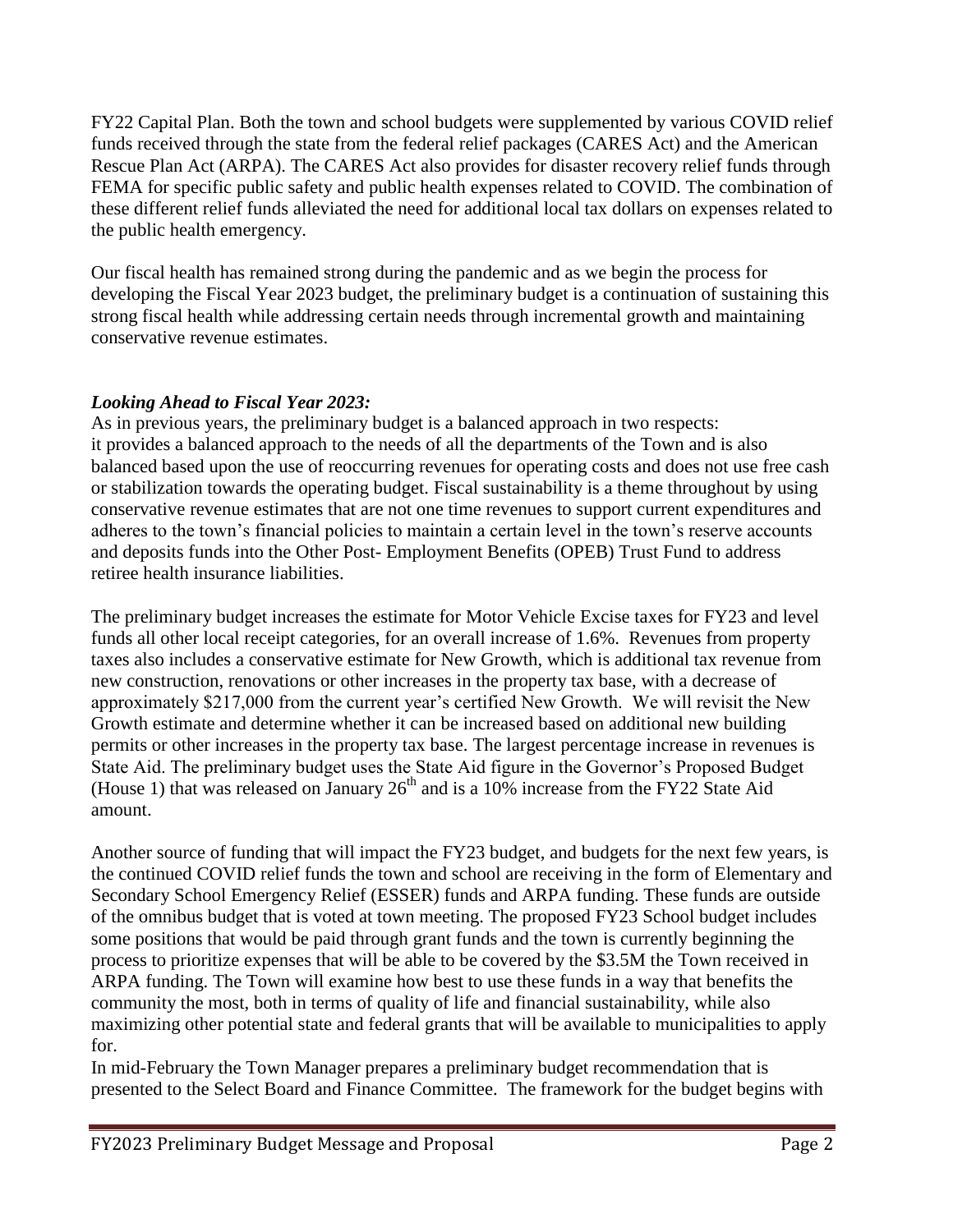FY22 Capital Plan. Both the town and school budgets were supplemented by various COVID relief funds received through the state from the federal relief packages (CARES Act) and the American Rescue Plan Act (ARPA). The CARES Act also provides for disaster recovery relief funds through FEMA for specific public safety and public health expenses related to COVID. The combination of these different relief funds alleviated the need for additional local tax dollars on expenses related to the public health emergency.

Our fiscal health has remained strong during the pandemic and as we begin the process for developing the Fiscal Year 2023 budget, the preliminary budget is a continuation of sustaining this strong fiscal health while addressing certain needs through incremental growth and maintaining conservative revenue estimates.

#### *Looking Ahead to Fiscal Year 2023:*

As in previous years, the preliminary budget is a balanced approach in two respects: it provides a balanced approach to the needs of all the departments of the Town and is also balanced based upon the use of reoccurring revenues for operating costs and does not use free cash or stabilization towards the operating budget. Fiscal sustainability is a theme throughout by using conservative revenue estimates that are not one time revenues to support current expenditures and adheres to the town's financial policies to maintain a certain level in the town's reserve accounts and deposits funds into the Other Post- Employment Benefits (OPEB) Trust Fund to address retiree health insurance liabilities.

The preliminary budget increases the estimate for Motor Vehicle Excise taxes for FY23 and level funds all other local receipt categories, for an overall increase of 1.6%. Revenues from property taxes also includes a conservative estimate for New Growth, which is additional tax revenue from new construction, renovations or other increases in the property tax base, with a decrease of approximately \$217,000 from the current year's certified New Growth. We will revisit the New Growth estimate and determine whether it can be increased based on additional new building permits or other increases in the property tax base. The largest percentage increase in revenues is State Aid. The preliminary budget uses the State Aid figure in the Governor's Proposed Budget (House 1) that was released on January  $26<sup>th</sup>$  and is a 10% increase from the FY22 State Aid amount.

Another source of funding that will impact the FY23 budget, and budgets for the next few years, is the continued COVID relief funds the town and school are receiving in the form of Elementary and Secondary School Emergency Relief (ESSER) funds and ARPA funding. These funds are outside of the omnibus budget that is voted at town meeting. The proposed FY23 School budget includes some positions that would be paid through grant funds and the town is currently beginning the process to prioritize expenses that will be able to be covered by the \$3.5M the Town received in ARPA funding. The Town will examine how best to use these funds in a way that benefits the community the most, both in terms of quality of life and financial sustainability, while also maximizing other potential state and federal grants that will be available to municipalities to apply for.

In mid-February the Town Manager prepares a preliminary budget recommendation that is presented to the Select Board and Finance Committee. The framework for the budget begins with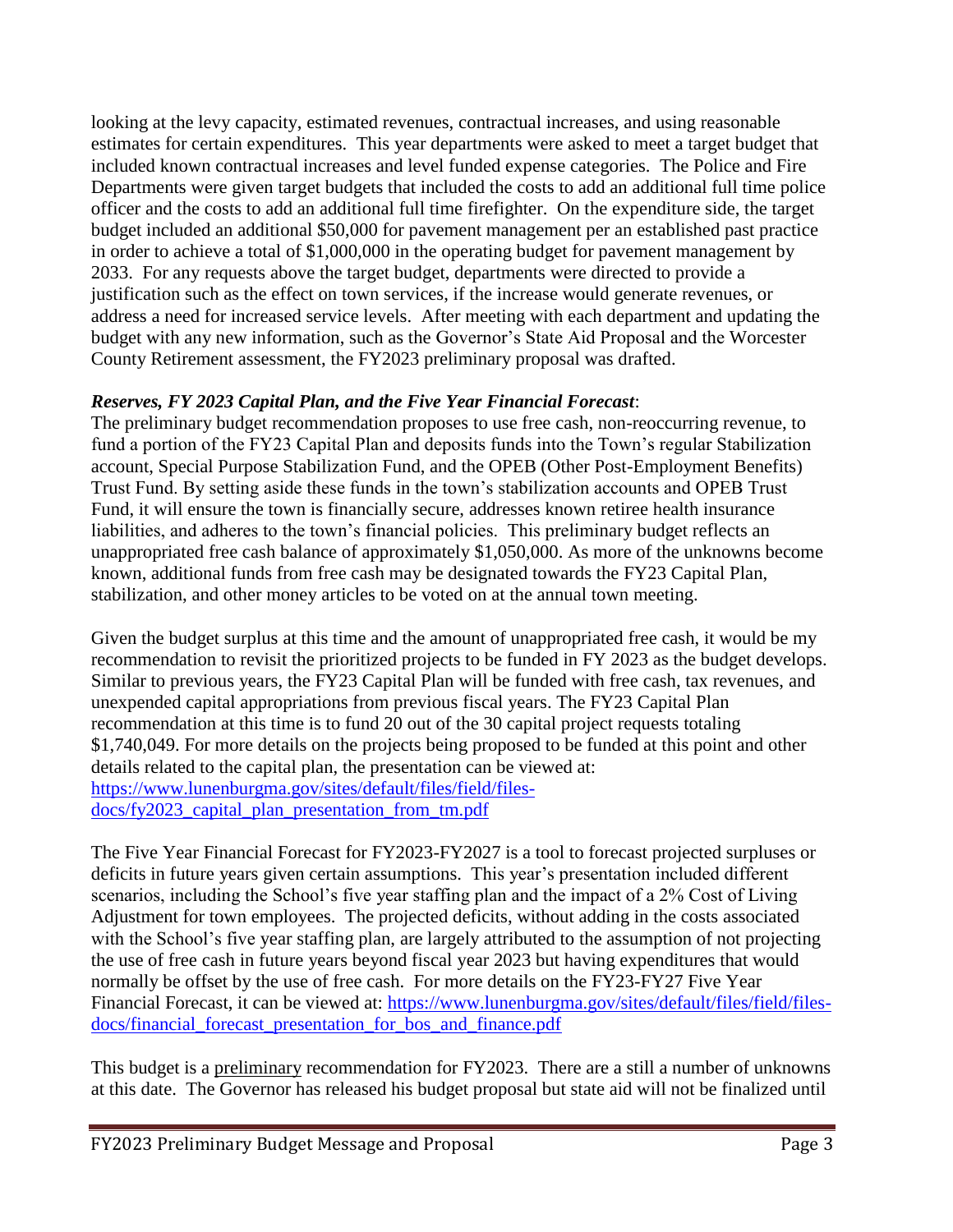looking at the levy capacity, estimated revenues, contractual increases, and using reasonable estimates for certain expenditures. This year departments were asked to meet a target budget that included known contractual increases and level funded expense categories. The Police and Fire Departments were given target budgets that included the costs to add an additional full time police officer and the costs to add an additional full time firefighter. On the expenditure side, the target budget included an additional \$50,000 for pavement management per an established past practice in order to achieve a total of \$1,000,000 in the operating budget for pavement management by 2033. For any requests above the target budget, departments were directed to provide a justification such as the effect on town services, if the increase would generate revenues, or address a need for increased service levels. After meeting with each department and updating the budget with any new information, such as the Governor's State Aid Proposal and the Worcester County Retirement assessment, the FY2023 preliminary proposal was drafted.

#### *Reserves, FY 2023 Capital Plan, and the Five Year Financial Forecast*:

The preliminary budget recommendation proposes to use free cash, non-reoccurring revenue, to fund a portion of the FY23 Capital Plan and deposits funds into the Town's regular Stabilization account, Special Purpose Stabilization Fund, and the OPEB (Other Post-Employment Benefits) Trust Fund. By setting aside these funds in the town's stabilization accounts and OPEB Trust Fund, it will ensure the town is financially secure, addresses known retiree health insurance liabilities, and adheres to the town's financial policies. This preliminary budget reflects an unappropriated free cash balance of approximately \$1,050,000. As more of the unknowns become known, additional funds from free cash may be designated towards the FY23 Capital Plan, stabilization, and other money articles to be voted on at the annual town meeting.

Given the budget surplus at this time and the amount of unappropriated free cash, it would be my recommendation to revisit the prioritized projects to be funded in FY 2023 as the budget develops. Similar to previous years, the FY23 Capital Plan will be funded with free cash, tax revenues, and unexpended capital appropriations from previous fiscal years. The FY23 Capital Plan recommendation at this time is to fund 20 out of the 30 capital project requests totaling \$1,740,049. For more details on the projects being proposed to be funded at this point and other details related to the capital plan, the presentation can be viewed at: [https://www.lunenburgma.gov/sites/default/files/field/files](https://www.lunenburgma.gov/sites/default/files/field/files-docs/fy2023_capital_plan_presentation_from_tm.pdf)[docs/fy2023\\_capital\\_plan\\_presentation\\_from\\_tm.pdf](https://www.lunenburgma.gov/sites/default/files/field/files-docs/fy2023_capital_plan_presentation_from_tm.pdf)

The Five Year Financial Forecast for FY2023-FY2027 is a tool to forecast projected surpluses or deficits in future years given certain assumptions. This year's presentation included different scenarios, including the School's five year staffing plan and the impact of a 2% Cost of Living Adjustment for town employees. The projected deficits, without adding in the costs associated with the School's five year staffing plan, are largely attributed to the assumption of not projecting the use of free cash in future years beyond fiscal year 2023 but having expenditures that would normally be offset by the use of free cash. For more details on the FY23-FY27 Five Year Financial Forecast, it can be viewed at: [https://www.lunenburgma.gov/sites/default/files/field/files](https://www.lunenburgma.gov/sites/default/files/field/files-docs/financial_forecast_presentation_for_bos_and_finance.pdf)docs/financial forecast presentation for bos and finance.pdf

This budget is a preliminary recommendation for FY2023. There are a still a number of unknowns at this date. The Governor has released his budget proposal but state aid will not be finalized until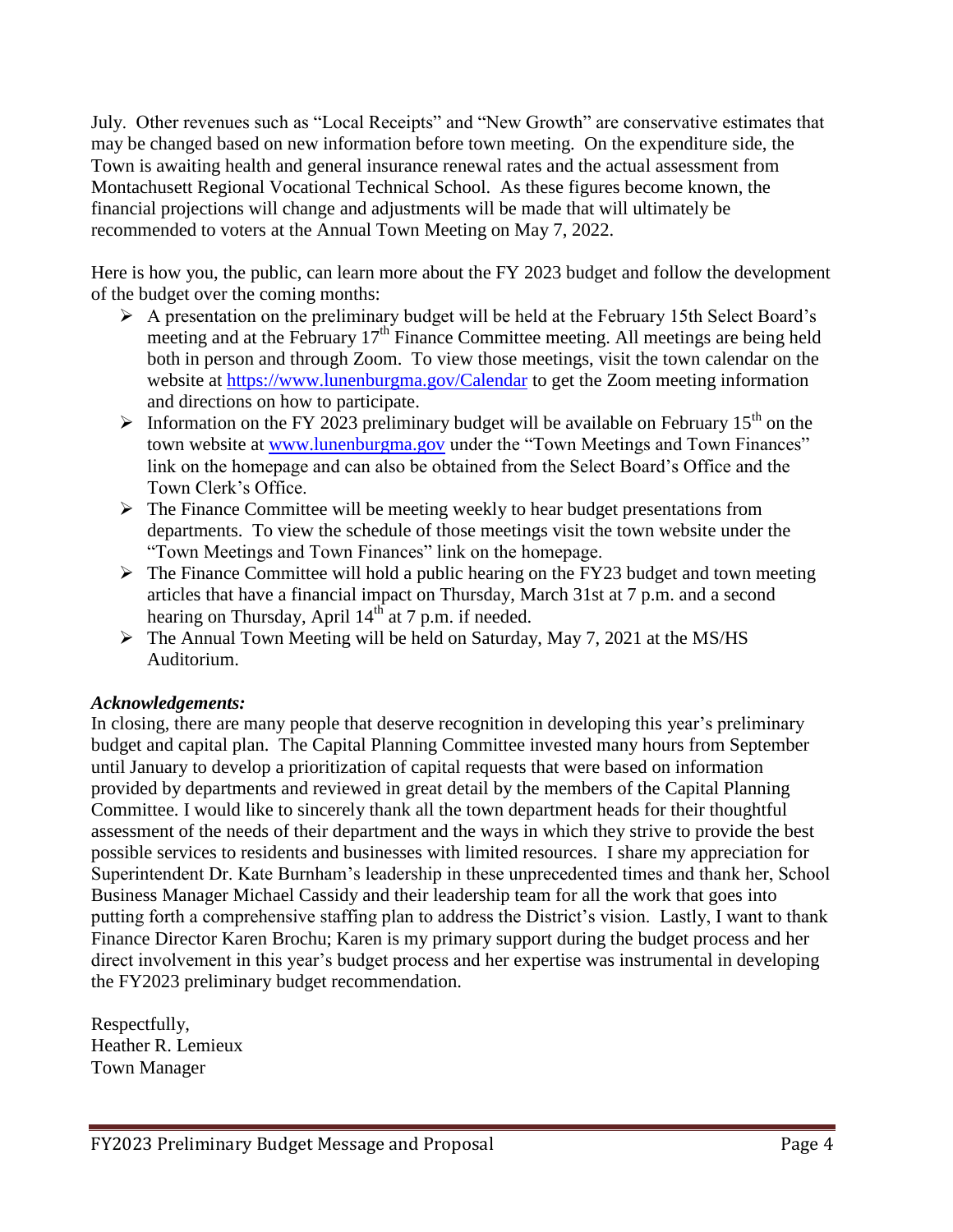July. Other revenues such as "Local Receipts" and "New Growth" are conservative estimates that may be changed based on new information before town meeting. On the expenditure side, the Town is awaiting health and general insurance renewal rates and the actual assessment from Montachusett Regional Vocational Technical School. As these figures become known, the financial projections will change and adjustments will be made that will ultimately be recommended to voters at the Annual Town Meeting on May 7, 2022.

Here is how you, the public, can learn more about the FY 2023 budget and follow the development of the budget over the coming months:

- A presentation on the preliminary budget will be held at the February 15th Select Board's meeting and at the February 17<sup>th</sup> Finance Committee meeting. All meetings are being held both in person and through Zoom. To view those meetings, visit the town calendar on the website at<https://www.lunenburgma.gov/Calendar> to get the Zoom meeting information and directions on how to participate.
- Information on the FY 2023 preliminary budget will be available on February 15<sup>th</sup> on the town website at [www.lunenburgma.gov](http://www.lunenburgma.gov/) under the "Town Meetings and Town Finances" link on the homepage and can also be obtained from the Select Board's Office and the Town Clerk's Office.
- $\triangleright$  The Finance Committee will be meeting weekly to hear budget presentations from departments. To view the schedule of those meetings visit the town website under the "Town Meetings and Town Finances" link on the homepage.
- $\triangleright$  The Finance Committee will hold a public hearing on the FY23 budget and town meeting articles that have a financial impact on Thursday, March 31st at 7 p.m. and a second hearing on Thursday, April  $14<sup>th</sup>$  at 7 p.m. if needed.
- $\triangleright$  The Annual Town Meeting will be held on Saturday, May 7, 2021 at the MS/HS Auditorium.

#### *Acknowledgements:*

In closing, there are many people that deserve recognition in developing this year's preliminary budget and capital plan. The Capital Planning Committee invested many hours from September until January to develop a prioritization of capital requests that were based on information provided by departments and reviewed in great detail by the members of the Capital Planning Committee. I would like to sincerely thank all the town department heads for their thoughtful assessment of the needs of their department and the ways in which they strive to provide the best possible services to residents and businesses with limited resources. I share my appreciation for Superintendent Dr. Kate Burnham's leadership in these unprecedented times and thank her, School Business Manager Michael Cassidy and their leadership team for all the work that goes into putting forth a comprehensive staffing plan to address the District's vision. Lastly, I want to thank Finance Director Karen Brochu; Karen is my primary support during the budget process and her direct involvement in this year's budget process and her expertise was instrumental in developing the FY2023 preliminary budget recommendation.

Respectfully, Heather R. Lemieux Town Manager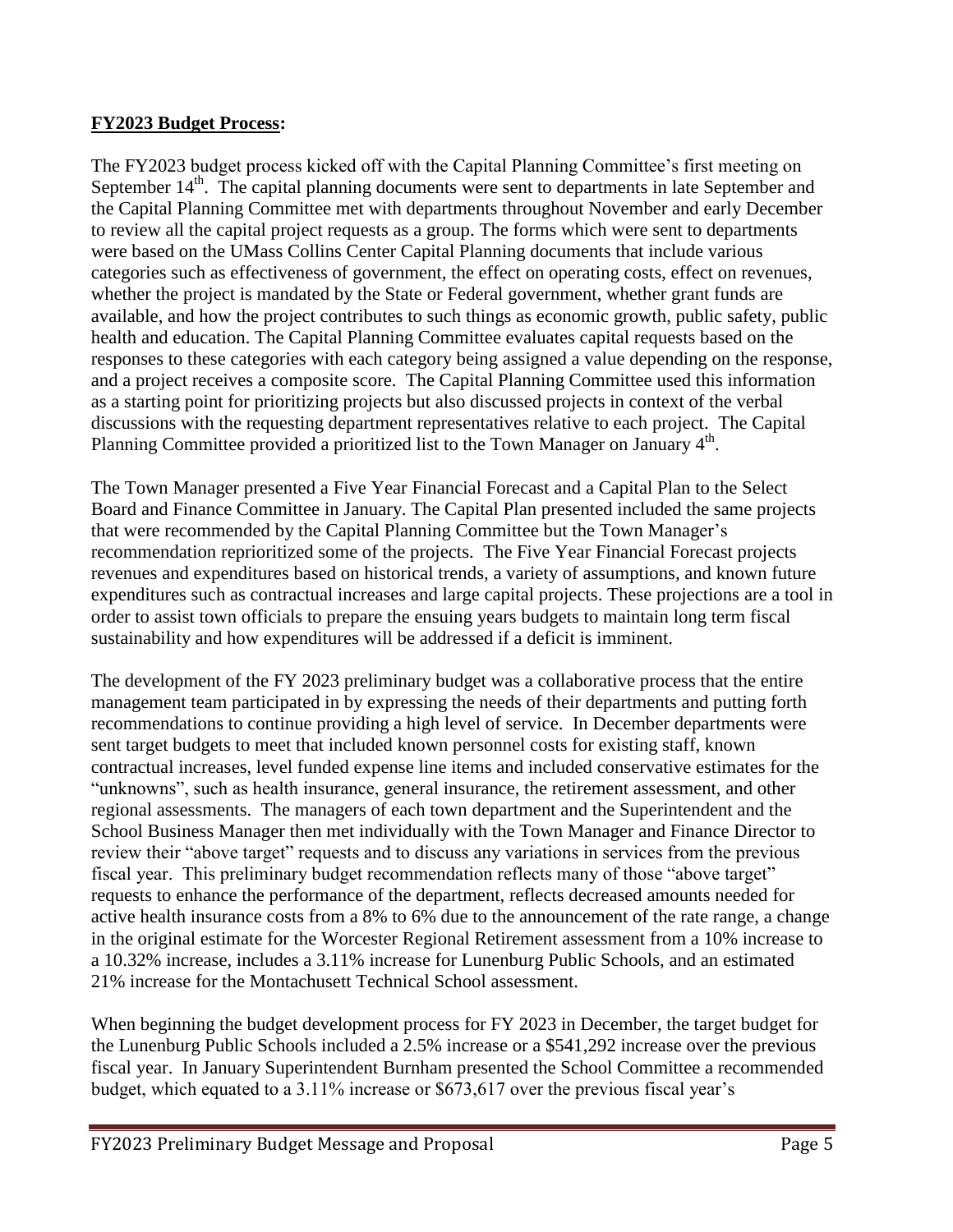#### **FY2023 Budget Process:**

The FY2023 budget process kicked off with the Capital Planning Committee's first meeting on September 14<sup>th</sup>. The capital planning documents were sent to departments in late September and the Capital Planning Committee met with departments throughout November and early December to review all the capital project requests as a group. The forms which were sent to departments were based on the UMass Collins Center Capital Planning documents that include various categories such as effectiveness of government, the effect on operating costs, effect on revenues, whether the project is mandated by the State or Federal government, whether grant funds are available, and how the project contributes to such things as economic growth, public safety, public health and education. The Capital Planning Committee evaluates capital requests based on the responses to these categories with each category being assigned a value depending on the response, and a project receives a composite score. The Capital Planning Committee used this information as a starting point for prioritizing projects but also discussed projects in context of the verbal discussions with the requesting department representatives relative to each project. The Capital Planning Committee provided a prioritized list to the Town Manager on January 4<sup>th</sup>.

The Town Manager presented a Five Year Financial Forecast and a Capital Plan to the Select Board and Finance Committee in January. The Capital Plan presented included the same projects that were recommended by the Capital Planning Committee but the Town Manager's recommendation reprioritized some of the projects. The Five Year Financial Forecast projects revenues and expenditures based on historical trends, a variety of assumptions, and known future expenditures such as contractual increases and large capital projects. These projections are a tool in order to assist town officials to prepare the ensuing years budgets to maintain long term fiscal sustainability and how expenditures will be addressed if a deficit is imminent.

The development of the FY 2023 preliminary budget was a collaborative process that the entire management team participated in by expressing the needs of their departments and putting forth recommendations to continue providing a high level of service. In December departments were sent target budgets to meet that included known personnel costs for existing staff, known contractual increases, level funded expense line items and included conservative estimates for the "unknowns", such as health insurance, general insurance, the retirement assessment, and other regional assessments. The managers of each town department and the Superintendent and the School Business Manager then met individually with the Town Manager and Finance Director to review their "above target" requests and to discuss any variations in services from the previous fiscal year. This preliminary budget recommendation reflects many of those "above target" requests to enhance the performance of the department, reflects decreased amounts needed for active health insurance costs from a 8% to 6% due to the announcement of the rate range, a change in the original estimate for the Worcester Regional Retirement assessment from a 10% increase to a 10.32% increase, includes a 3.11% increase for Lunenburg Public Schools, and an estimated 21% increase for the Montachusett Technical School assessment.

When beginning the budget development process for FY 2023 in December, the target budget for the Lunenburg Public Schools included a 2.5% increase or a \$541,292 increase over the previous fiscal year. In January Superintendent Burnham presented the School Committee a recommended budget, which equated to a 3.11% increase or \$673,617 over the previous fiscal year's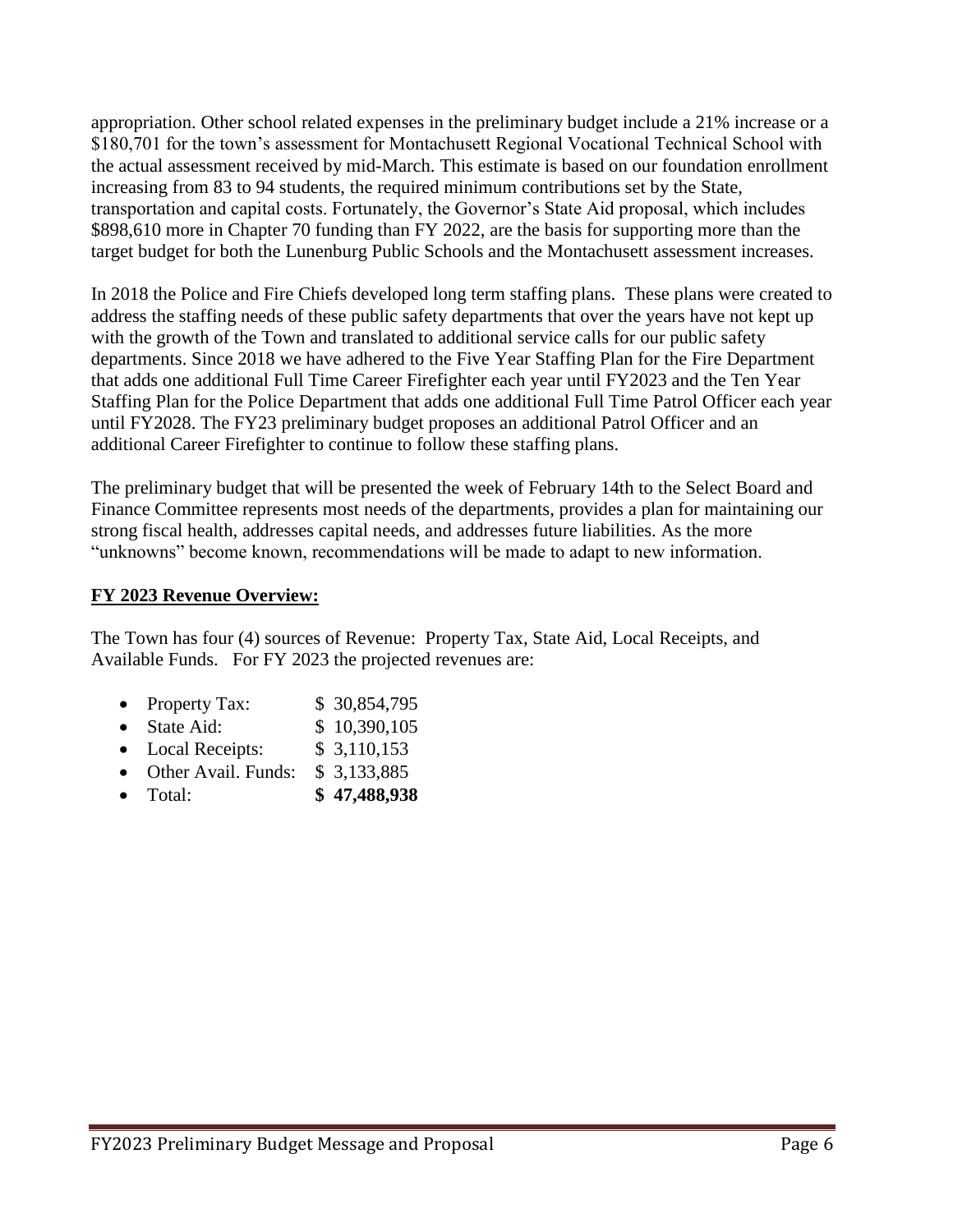appropriation. Other school related expenses in the preliminary budget include a 21% increase or a \$180,701 for the town's assessment for Montachusett Regional Vocational Technical School with the actual assessment received by mid-March. This estimate is based on our foundation enrollment increasing from 83 to 94 students, the required minimum contributions set by the State, transportation and capital costs. Fortunately, the Governor's State Aid proposal, which includes \$898,610 more in Chapter 70 funding than FY 2022, are the basis for supporting more than the target budget for both the Lunenburg Public Schools and the Montachusett assessment increases.

In 2018 the Police and Fire Chiefs developed long term staffing plans. These plans were created to address the staffing needs of these public safety departments that over the years have not kept up with the growth of the Town and translated to additional service calls for our public safety departments. Since 2018 we have adhered to the Five Year Staffing Plan for the Fire Department that adds one additional Full Time Career Firefighter each year until FY2023 and the Ten Year Staffing Plan for the Police Department that adds one additional Full Time Patrol Officer each year until FY2028. The FY23 preliminary budget proposes an additional Patrol Officer and an additional Career Firefighter to continue to follow these staffing plans.

The preliminary budget that will be presented the week of February 14th to the Select Board and Finance Committee represents most needs of the departments, provides a plan for maintaining our strong fiscal health, addresses capital needs, and addresses future liabilities. As the more "unknowns" become known, recommendations will be made to adapt to new information.

#### **FY 2023 Revenue Overview:**

The Town has four (4) sources of Revenue: Property Tax, State Aid, Local Receipts, and Available Funds. For FY 2023 the projected revenues are:

- Property Tax:  $$30,854,795$
- State Aid: \$ 10,390,105
- Local Receipts: \$ 3,110,153
- Other Avail. Funds: \$ 3,133,885
- Total: **\$ 47,488,938**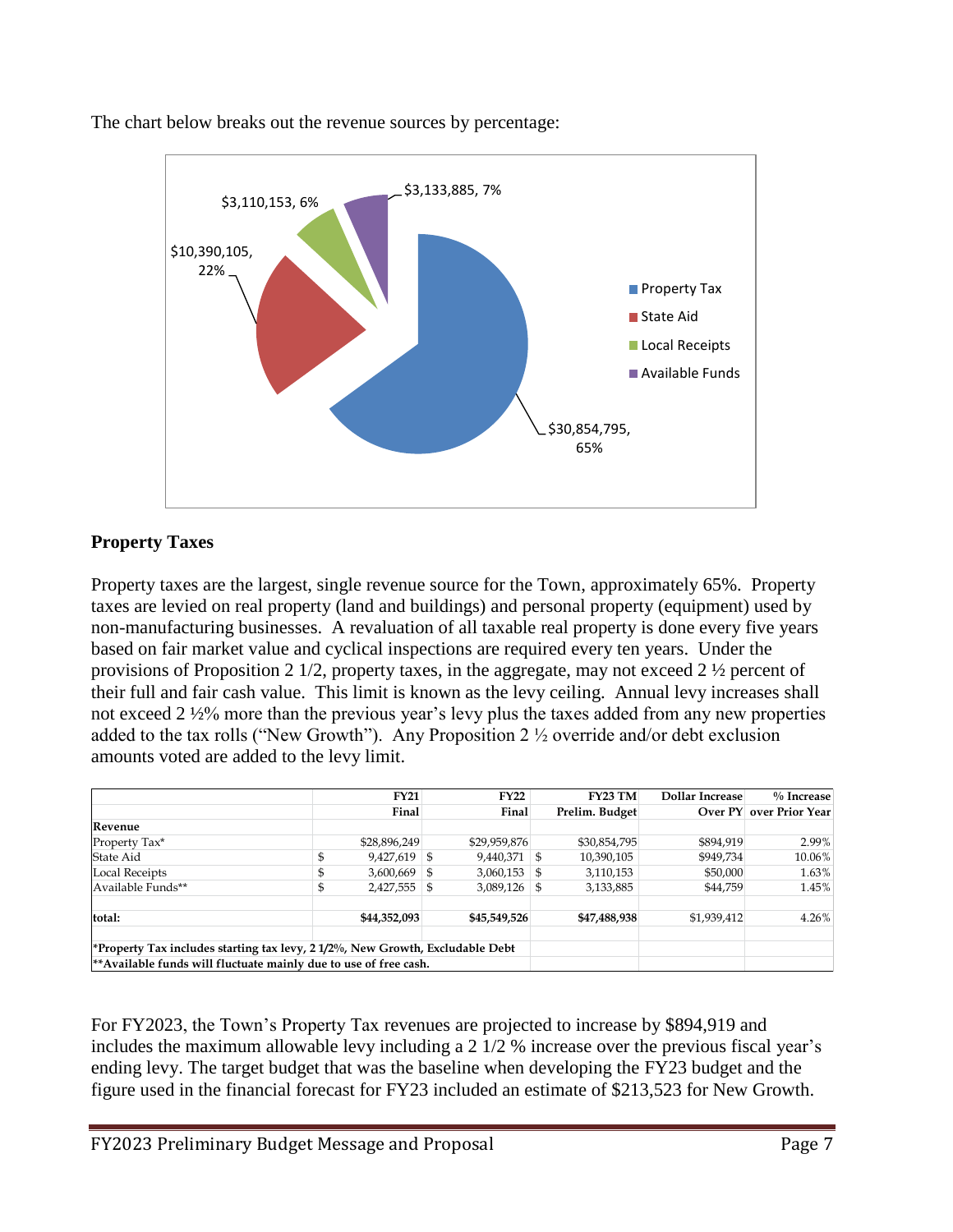

The chart below breaks out the revenue sources by percentage:

#### **Property Taxes**

Property taxes are the largest, single revenue source for the Town, approximately 65%. Property taxes are levied on real property (land and buildings) and personal property (equipment) used by non-manufacturing businesses. A revaluation of all taxable real property is done every five years based on fair market value and cyclical inspections are required every ten years. Under the provisions of Proposition 2  $1/2$ , property taxes, in the aggregate, may not exceed 2  $\frac{1}{2}$  percent of their full and fair cash value. This limit is known as the levy ceiling. Annual levy increases shall not exceed 2 ½% more than the previous year's levy plus the taxes added from any new properties added to the tax rolls ("New Growth"). Any Proposition 2 ½ override and/or debt exclusion amounts voted are added to the levy limit.

|                                                                               |  | <b>FY21</b>    |   | <b>FY22</b>    |  | <b>FY23 TM</b> | Dollar Increase | $%$ Increase                   |
|-------------------------------------------------------------------------------|--|----------------|---|----------------|--|----------------|-----------------|--------------------------------|
|                                                                               |  | Final          |   | Final          |  | Prelim. Budget |                 | <b>Over PY</b> over Prior Year |
| Revenue                                                                       |  |                |   |                |  |                |                 |                                |
| Property Tax*                                                                 |  | \$28,896,249   |   | \$29,959,876   |  | \$30,854,795   | \$894,919       | 2.99%                          |
| State Aid                                                                     |  | $9,427,619$ \$ |   | $9,440,371$ \$ |  | 10,390,105     | \$949,734       | 10.06%                         |
| Local Receipts                                                                |  | $3,600,669$ \$ |   | $3,060,153$ \$ |  | 3,110,153      | \$50,000        | 1.63%                          |
| Available Funds**                                                             |  | 2,427,555      | S | $3,089,126$ \$ |  | 3,133,885      | \$44,759        | 1.45%                          |
| total:                                                                        |  | \$44,352,093   |   | \$45,549,526   |  | \$47,488,938   | \$1,939,412     | 4.26%                          |
| *Property Tax includes starting tax levy, 2 1/2%, New Growth, Excludable Debt |  |                |   |                |  |                |                 |                                |
| ** Available funds will fluctuate mainly due to use of free cash.             |  |                |   |                |  |                |                 |                                |

For FY2023, the Town's Property Tax revenues are projected to increase by \$894,919 and includes the maximum allowable levy including a 2 1/2 % increase over the previous fiscal year's ending levy. The target budget that was the baseline when developing the FY23 budget and the figure used in the financial forecast for FY23 included an estimate of \$213,523 for New Growth.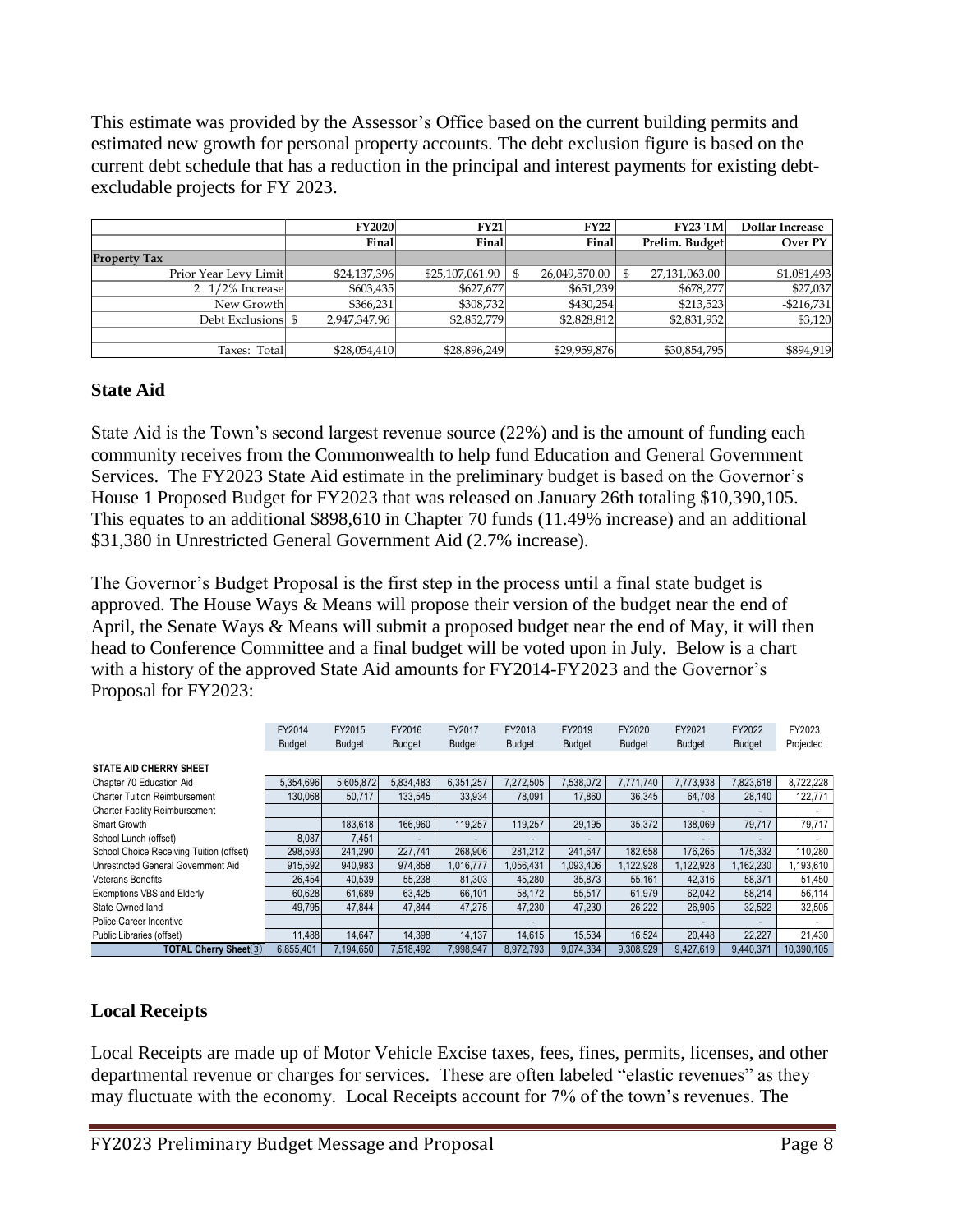This estimate was provided by the Assessor's Office based on the current building permits and estimated new growth for personal property accounts. The debt exclusion figure is based on the current debt schedule that has a reduction in the principal and interest payments for existing debtexcludable projects for FY 2023.

|                           | <b>FY2020</b> | <b>FY21</b>                      | <b>FY22</b>   | <b>FY23 TM</b>      | Dollar Increase |
|---------------------------|---------------|----------------------------------|---------------|---------------------|-----------------|
|                           | Final         | Final                            | Final         | Prelim. Budget      | Over PY         |
| <b>Property Tax</b>       |               |                                  |               |                     |                 |
| Prior Year Levy Limit     | \$24,137,396  | $$25.107.061.90 \;{\vert} \;$ \$ | 26.049.570.00 | 27,131,063.00<br>S. | \$1,081,493     |
| $2\frac{1}{2\%}$ Increase | \$603,435     | \$627,677                        | \$651,239     | \$678,277           | \$27,037        |
| New Growth                | \$366,231     | \$308,732                        | \$430.254     | \$213,523           | $-$216.731$     |
| Debt Exclusions  \$       | 2.947.347.96  | \$2,852,779                      | \$2,828,812   | \$2,831,932         | \$3,120         |
|                           |               |                                  |               |                     |                 |
| Taxes: Total              | \$28,054,410  | \$28,896,249                     | \$29,959,876  | \$30,854,795        | \$894,919       |

#### **State Aid**

State Aid is the Town's second largest revenue source (22%) and is the amount of funding each community receives from the Commonwealth to help fund Education and General Government Services. The FY2023 State Aid estimate in the preliminary budget is based on the Governor's House 1 Proposed Budget for FY2023 that was released on January 26th totaling \$10,390,105. This equates to an additional \$898,610 in Chapter 70 funds (11.49% increase) and an additional \$31,380 in Unrestricted General Government Aid (2.7% increase).

The Governor's Budget Proposal is the first step in the process until a final state budget is approved. The House Ways & Means will propose their version of the budget near the end of April, the Senate Ways & Means will submit a proposed budget near the end of May, it will then head to Conference Committee and a final budget will be voted upon in July. Below is a chart with a history of the approved State Aid amounts for FY2014-FY2023 and the Governor's Proposal for FY2023:

|                                          | FY2014        | FY2015        | FY2016        | FY2017        | FY2018        | FY2019        | FY2020        | FY2021        | FY2022        | FY2023     |
|------------------------------------------|---------------|---------------|---------------|---------------|---------------|---------------|---------------|---------------|---------------|------------|
|                                          | <b>Budget</b> | <b>Budget</b> | <b>Budget</b> | <b>Budget</b> | <b>Budget</b> | <b>Budget</b> | <b>Budget</b> | <b>Budget</b> | <b>Budget</b> | Projected  |
|                                          |               |               |               |               |               |               |               |               |               |            |
| <b>STATE AID CHERRY SHEET</b>            |               |               |               |               |               |               |               |               |               |            |
| Chapter 70 Education Aid                 | 5.354.696     | 5,605,872     | 5.834.483     | 6.351.257     | 7,272,505     | 7.538.072     | 7.771.740     | 7.773.938     | 7,823,618     | 8.722.228  |
| <b>Charter Tuition Reimbursement</b>     | 130.068       | 50,717        | 133.545       | 33,934        | 78.091        | 17,860        | 36.345        | 64,708        | 28,140        | 122,771    |
| <b>Charter Facility Reimbursement</b>    |               |               |               |               |               |               |               |               |               |            |
| Smart Growth                             |               | 183.618       | 166,960       | 119.257       | 119.257       | 29.195        | 35.372        | 138.069       | 79.717        | 79.717     |
| School Lunch (offset)                    | 8.087         | 7,451         |               |               |               |               |               |               |               |            |
| School Choice Receiving Tuition (offset) | 298,593       | 241,290       | 227,741       | 268,906       | 281,212       | 241.647       | 182.658       | 176,265       | 175,332       | 110,280    |
| Unrestricted General Government Aid      | 915,592       | 940,983       | 974,858       | 1.016.777     | 1,056,431     | 1,093,406     | 1,122,928     | 1,122,928     | 1,162,230     | 193,610    |
| <b>Veterans Benefits</b>                 | 26.454        | 40,539        | 55.238        | 81.303        | 45,280        | 35,873        | 55.161        | 42.316        | 58.371        | 51,450     |
| <b>Exemptions VBS and Elderly</b>        | 60.628        | 61.689        | 63.425        | 66.101        | 58.172        | 55.517        | 61.979        | 62.042        | 58.214        | 56,114     |
| State Owned land                         | 49.795        | 47.844        | 47.844        | 47.275        | 47.230        | 47.230        | 26.222        | 26,905        | 32,522        | 32,505     |
| Police Career Incentive                  |               |               |               |               |               |               |               |               |               |            |
| Public Libraries (offset)                | 11,488        | 14.647        | 14.398        | 14,137        | 14.615        | 15.534        | 16.524        | 20.448        | 22,227        | 21,430     |
| TOTAL Cherry Sheet(3)                    | 6,855,401     | 7,194,650     | 7,518,492     | ,998,947      | 8,972,793     | 9,074,334     | 9,308,929     | 9.427.619     | 9.440.371     | 10,390,105 |

#### **Local Receipts**

Local Receipts are made up of Motor Vehicle Excise taxes, fees, fines, permits, licenses, and other departmental revenue or charges for services. These are often labeled "elastic revenues" as they may fluctuate with the economy. Local Receipts account for 7% of the town's revenues. The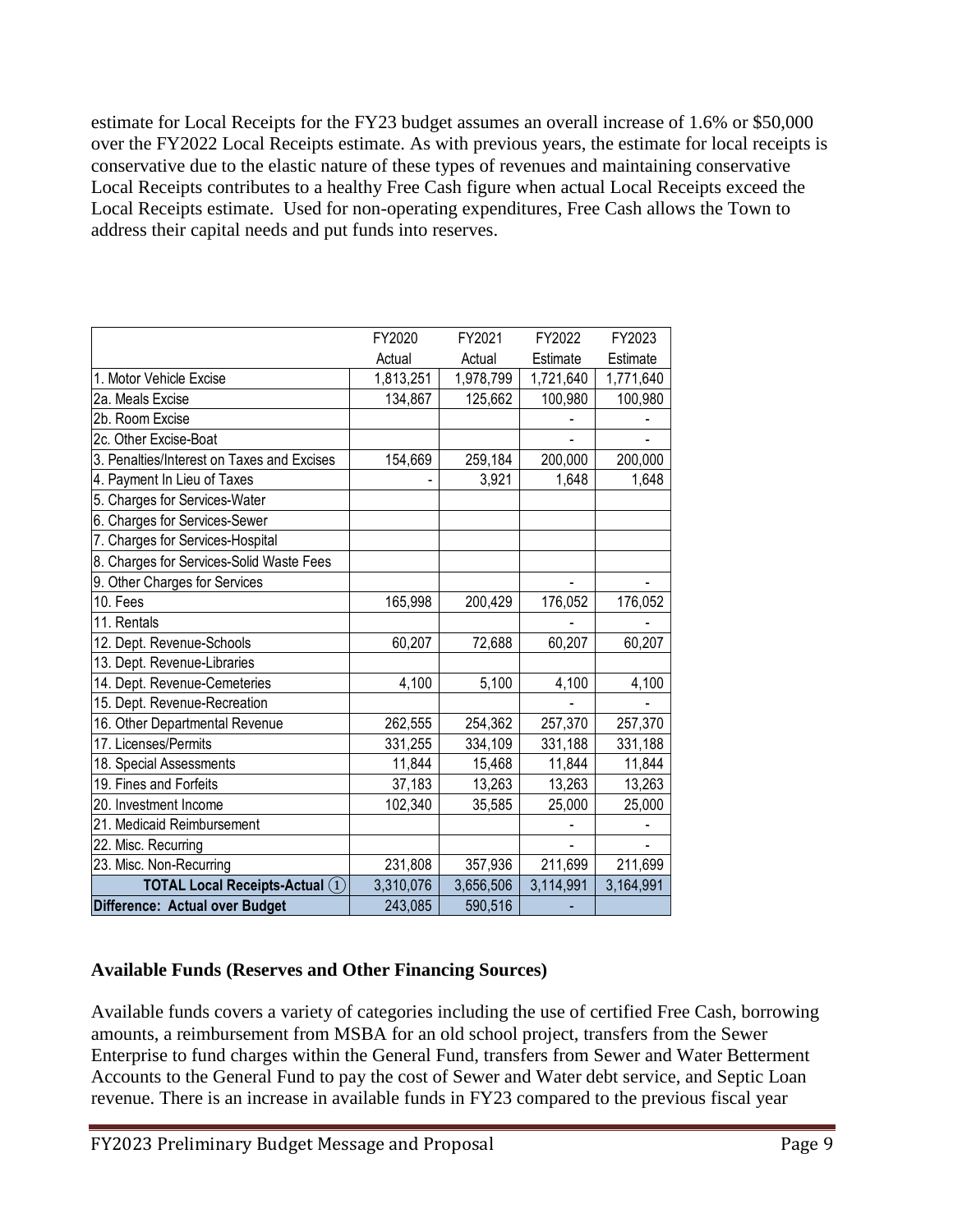estimate for Local Receipts for the FY23 budget assumes an overall increase of 1.6% or \$50,000 over the FY2022 Local Receipts estimate. As with previous years, the estimate for local receipts is conservative due to the elastic nature of these types of revenues and maintaining conservative Local Receipts contributes to a healthy Free Cash figure when actual Local Receipts exceed the Local Receipts estimate. Used for non-operating expenditures, Free Cash allows the Town to address their capital needs and put funds into reserves.

|                                            | FY2020    | FY2021    | FY2022    | FY2023    |
|--------------------------------------------|-----------|-----------|-----------|-----------|
|                                            | Actual    | Actual    | Estimate  | Estimate  |
| 1. Motor Vehicle Excise                    | 1,813,251 | 1,978,799 | 1,721,640 | 1,771,640 |
| 2a. Meals Excise                           | 134,867   | 125,662   | 100,980   | 100,980   |
| 2b. Room Excise                            |           |           |           |           |
| 2c. Other Excise-Boat                      |           |           |           |           |
| 3. Penalties/Interest on Taxes and Excises | 154,669   | 259,184   | 200,000   | 200,000   |
| 4. Payment In Lieu of Taxes                |           | 3,921     | 1,648     | 1,648     |
| 5. Charges for Services-Water              |           |           |           |           |
| 6. Charges for Services-Sewer              |           |           |           |           |
| 7. Charges for Services-Hospital           |           |           |           |           |
| 8. Charges for Services-Solid Waste Fees   |           |           |           |           |
| 9. Other Charges for Services              |           |           |           |           |
| 10. Fees                                   | 165,998   | 200,429   | 176,052   | 176,052   |
| 11. Rentals                                |           |           |           |           |
| 12. Dept. Revenue-Schools                  | 60,207    | 72,688    | 60,207    | 60,207    |
| 13. Dept. Revenue-Libraries                |           |           |           |           |
| 14. Dept. Revenue-Cemeteries               | 4,100     | 5,100     | 4,100     | 4,100     |
| 15. Dept. Revenue-Recreation               |           |           |           |           |
| 16. Other Departmental Revenue             | 262,555   | 254,362   | 257,370   | 257,370   |
| 17. Licenses/Permits                       | 331,255   | 334,109   | 331,188   | 331,188   |
| 18. Special Assessments                    | 11,844    | 15,468    | 11,844    | 11,844    |
| 19. Fines and Forfeits                     | 37,183    | 13,263    | 13,263    | 13,263    |
| 20. Investment Income                      | 102,340   | 35,585    | 25,000    | 25,000    |
| 21. Medicaid Reimbursement                 |           |           |           |           |
| 22. Misc. Recurring                        |           |           |           |           |
| 23. Misc. Non-Recurring                    | 231,808   | 357,936   | 211,699   | 211,699   |
| <b>TOTAL Local Receipts-Actual (1)</b>     | 3,310,076 | 3,656,506 | 3,114,991 | 3,164,991 |
| Difference: Actual over Budget             | 243,085   | 590,516   |           |           |

#### **Available Funds (Reserves and Other Financing Sources)**

Available funds covers a variety of categories including the use of certified Free Cash, borrowing amounts, a reimbursement from MSBA for an old school project, transfers from the Sewer Enterprise to fund charges within the General Fund, transfers from Sewer and Water Betterment Accounts to the General Fund to pay the cost of Sewer and Water debt service, and Septic Loan revenue. There is an increase in available funds in FY23 compared to the previous fiscal year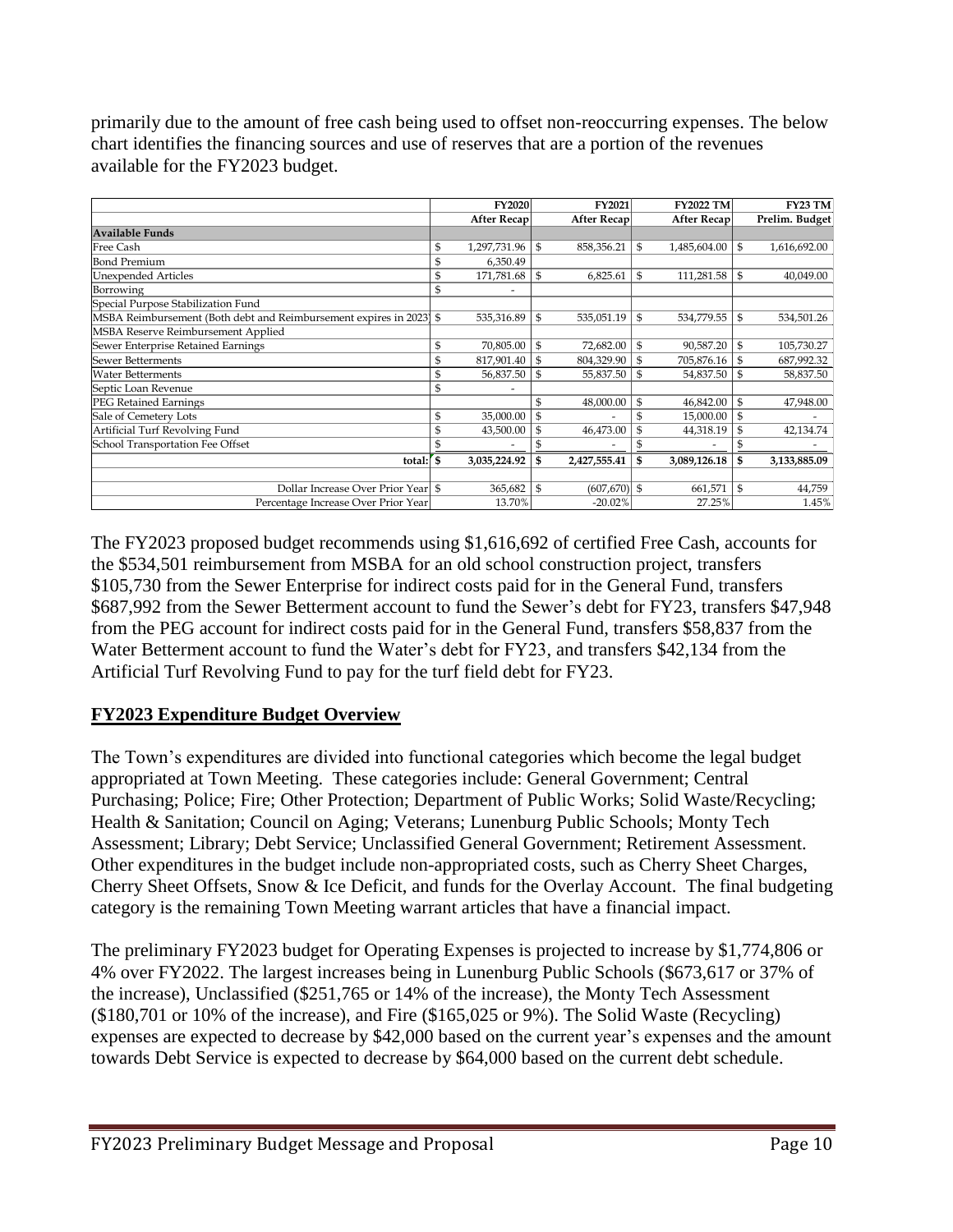primarily due to the amount of free cash being used to offset non-reoccurring expenses. The below chart identifies the financing sources and use of reserves that are a portion of the revenues available for the FY2023 budget.

|                                                                     | <b>FY2020</b>                  |               | <b>FY2021</b>      | <b>FY2022 TM</b>   | <b>FY23 TM</b>     |
|---------------------------------------------------------------------|--------------------------------|---------------|--------------------|--------------------|--------------------|
|                                                                     | <b>After Recap</b>             |               | <b>After Recap</b> | After Recap        | Prelim. Budget     |
| <b>Available Funds</b>                                              |                                |               |                    |                    |                    |
| Free Cash                                                           | \$<br>1,297,731.96             | \$            | 858,356.21         | \$<br>1,485,604.00 | \$<br>1,616,692.00 |
| <b>Bond Premium</b>                                                 | \$<br>6,350.49                 |               |                    |                    |                    |
| <b>Unexpended Articles</b>                                          | \$<br>171,781.68               | \$            | 6,825.61           | \$<br>111,281.58   | \$<br>40,049.00    |
| Borrowing                                                           | \$<br>$\overline{\phantom{a}}$ |               |                    |                    |                    |
| Special Purpose Stabilization Fund                                  |                                |               |                    |                    |                    |
| MSBA Reimbursement (Both debt and Reimbursement expires in 2023) \$ | 535,316.89                     | ${\mathbb S}$ | 535,051.19         | \$<br>534,779.55   | \$<br>534,501.26   |
| MSBA Reserve Reimbursement Applied                                  |                                |               |                    |                    |                    |
| Sewer Enterprise Retained Earnings                                  | \$<br>70,805.00                | \$            | 72,682.00          | \$<br>90,587.20    | \$<br>105,730.27   |
| Sewer Betterments                                                   | \$<br>817,901.40               | \$            | 804,329.90         | \$<br>705,876.16   | \$<br>687,992.32   |
| <b>Water Betterments</b>                                            | \$<br>56,837.50                | \$            | 55,837.50          | \$<br>54,837.50    | \$<br>58,837.50    |
| Septic Loan Revenue                                                 | \$                             |               |                    |                    |                    |
| PEG Retained Earnings                                               |                                | \$            | 48,000.00          | \$<br>46,842.00    | \$<br>47,948.00    |
| Sale of Cemetery Lots                                               | \$<br>35,000.00                | \$            |                    | 15,000.00          | \$                 |
| Artificial Turf Revolving Fund                                      | 43,500.00                      | \$            | 46,473.00          | \$<br>44,318.19    | \$<br>42,134.74    |
| School Transportation Fee Offset                                    |                                |               |                    |                    | \$                 |
| total:                                                              | \$<br>3,035,224.92             | \$            | 2,427,555.41       | 3,089,126.18       | \$<br>3,133,885.09 |
|                                                                     |                                |               |                    |                    |                    |
| Dollar Increase Over Prior Year \$                                  | 365,682                        | \$            | $(607, 670)$ \$    | 661,571            | \$<br>44,759       |
| Percentage Increase Over Prior Year                                 | 13.70%                         |               | $-20.02%$          | 27.25%             | 1.45%              |

The FY2023 proposed budget recommends using \$1,616,692 of certified Free Cash, accounts for the \$534,501 reimbursement from MSBA for an old school construction project, transfers \$105,730 from the Sewer Enterprise for indirect costs paid for in the General Fund, transfers \$687,992 from the Sewer Betterment account to fund the Sewer's debt for FY23, transfers \$47,948 from the PEG account for indirect costs paid for in the General Fund, transfers \$58,837 from the Water Betterment account to fund the Water's debt for FY23, and transfers \$42,134 from the Artificial Turf Revolving Fund to pay for the turf field debt for FY23.

#### **FY2023 Expenditure Budget Overview**

The Town's expenditures are divided into functional categories which become the legal budget appropriated at Town Meeting. These categories include: General Government; Central Purchasing; Police; Fire; Other Protection; Department of Public Works; Solid Waste/Recycling; Health & Sanitation; Council on Aging; Veterans; Lunenburg Public Schools; Monty Tech Assessment; Library; Debt Service; Unclassified General Government; Retirement Assessment. Other expenditures in the budget include non-appropriated costs, such as Cherry Sheet Charges, Cherry Sheet Offsets, Snow & Ice Deficit, and funds for the Overlay Account. The final budgeting category is the remaining Town Meeting warrant articles that have a financial impact.

The preliminary FY2023 budget for Operating Expenses is projected to increase by \$1,774,806 or 4% over FY2022. The largest increases being in Lunenburg Public Schools (\$673,617 or 37% of the increase), Unclassified (\$251,765 or 14% of the increase), the Monty Tech Assessment (\$180,701 or 10% of the increase), and Fire (\$165,025 or 9%). The Solid Waste (Recycling) expenses are expected to decrease by \$42,000 based on the current year's expenses and the amount towards Debt Service is expected to decrease by \$64,000 based on the current debt schedule.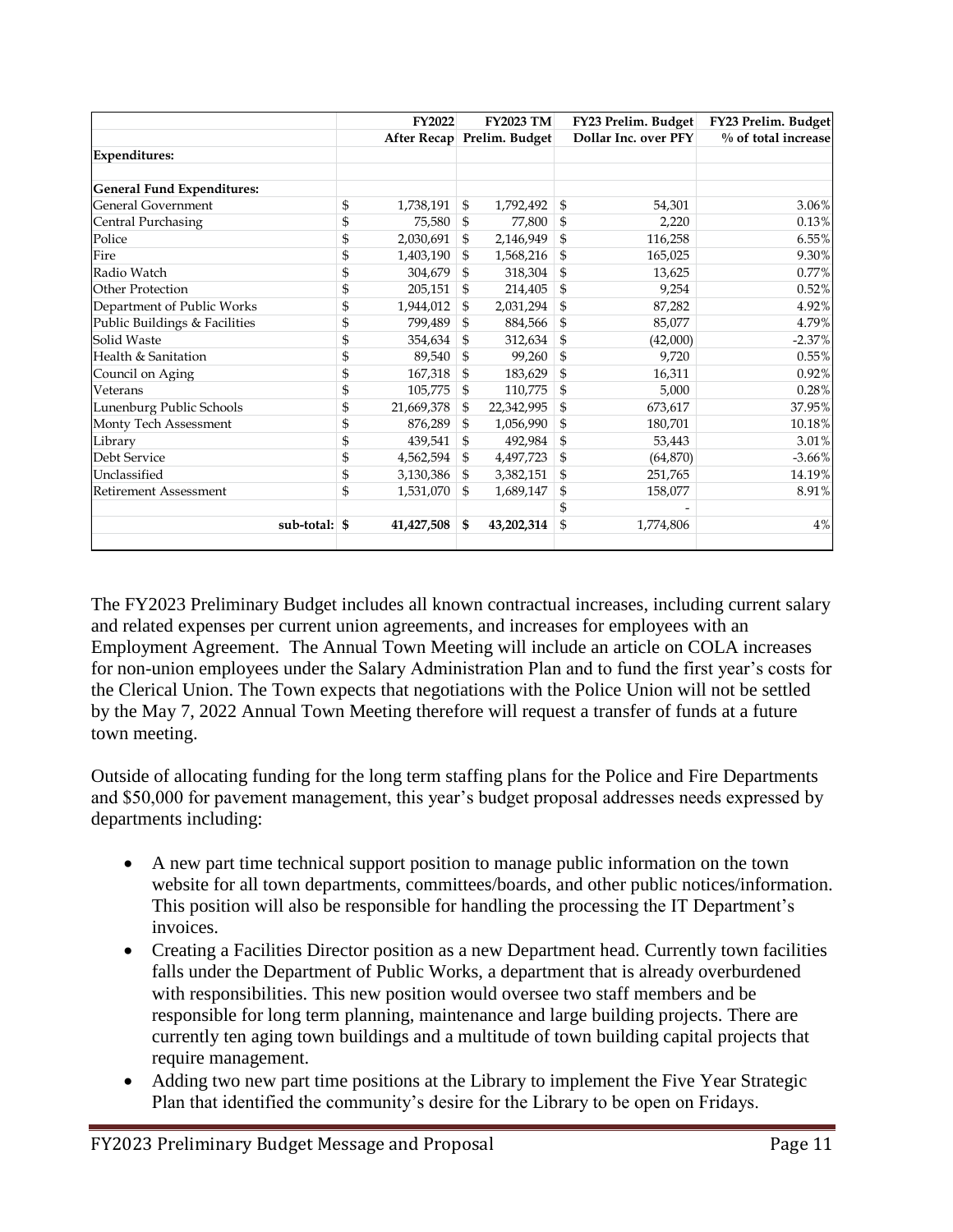|                                   | <b>FY2022</b>    | <b>FY2023 TM</b>           |                | FY23 Prelim. Budget  | FY23 Prelim. Budget |
|-----------------------------------|------------------|----------------------------|----------------|----------------------|---------------------|
|                                   |                  | After Recap Prelim. Budget |                | Dollar Inc. over PFY | % of total increase |
| <b>Expenditures:</b>              |                  |                            |                |                      |                     |
|                                   |                  |                            |                |                      |                     |
| <b>General Fund Expenditures:</b> |                  |                            |                |                      |                     |
| General Government                | \$<br>1,738,191  | \$<br>1,792,492            | \$             | 54,301               | 3.06%               |
| Central Purchasing                | \$<br>75,580     | \$<br>77,800               | \$             | 2,220                | 0.13%               |
| Police                            | \$<br>2,030,691  | \$<br>2,146,949            | \$             | 116,258              | 6.55%               |
| Fire                              | \$<br>1,403,190  | \$<br>1,568,216            | \$             | 165,025              | 9.30%               |
| Radio Watch                       | \$<br>304,679    | \$<br>318,304              | \$             | 13,625               | 0.77%               |
| Other Protection                  | \$<br>205,151    | \$<br>214,405              | \$             | 9,254                | 0.52%               |
| Department of Public Works        | \$<br>1,944,012  | \$<br>2,031,294            | \$             | 87,282               | 4.92%               |
| Public Buildings & Facilities     | \$<br>799.489    | \$<br>884,566              | \$             | 85,077               | 4.79%               |
| Solid Waste                       | \$<br>354,634    | \$<br>312,634              | \$             | (42,000)             | $-2.37%$            |
| Health & Sanitation               | \$<br>89,540     | \$<br>99,260               | \$             | 9,720                | 0.55%               |
| Council on Aging                  | \$<br>167,318    | \$<br>183,629              | \$             | 16,311               | 0.92%               |
| Veterans                          | \$<br>105,775    | \$<br>110,775              | \$             | 5,000                | 0.28%               |
| Lunenburg Public Schools          | \$<br>21,669,378 | \$<br>22,342,995           | \$             | 673,617              | 37.95%              |
| Monty Tech Assessment             | \$<br>876,289    | \$<br>1,056,990            | $\mathfrak{S}$ | 180,701              | 10.18%              |
| Library                           | \$<br>439,541    | \$<br>492,984              | \$             | 53,443               | 3.01%               |
| Debt Service                      | \$<br>4,562,594  | \$<br>4,497,723            | \$             | (64, 870)            | $-3.66%$            |
| Unclassified                      | \$<br>3,130,386  | \$<br>3,382,151            | \$             | 251,765              | 14.19%              |
| <b>Retirement Assessment</b>      | \$<br>1,531,070  | \$<br>1,689,147            | \$             | 158,077              | 8.91%               |
|                                   |                  |                            | \$             |                      |                     |
| sub-total: $\frac{1}{2}$          | 41,427,508       | \$<br>43,202,314           | \$             | 1,774,806            | 4%                  |
|                                   |                  |                            |                |                      |                     |

The FY2023 Preliminary Budget includes all known contractual increases, including current salary and related expenses per current union agreements, and increases for employees with an Employment Agreement. The Annual Town Meeting will include an article on COLA increases for non-union employees under the Salary Administration Plan and to fund the first year's costs for the Clerical Union. The Town expects that negotiations with the Police Union will not be settled by the May 7, 2022 Annual Town Meeting therefore will request a transfer of funds at a future town meeting.

Outside of allocating funding for the long term staffing plans for the Police and Fire Departments and \$50,000 for pavement management, this year's budget proposal addresses needs expressed by departments including:

- A new part time technical support position to manage public information on the town website for all town departments, committees/boards, and other public notices/information. This position will also be responsible for handling the processing the IT Department's invoices.
- Creating a Facilities Director position as a new Department head. Currently town facilities falls under the Department of Public Works, a department that is already overburdened with responsibilities. This new position would oversee two staff members and be responsible for long term planning, maintenance and large building projects. There are currently ten aging town buildings and a multitude of town building capital projects that require management.
- Adding two new part time positions at the Library to implement the Five Year Strategic Plan that identified the community's desire for the Library to be open on Fridays.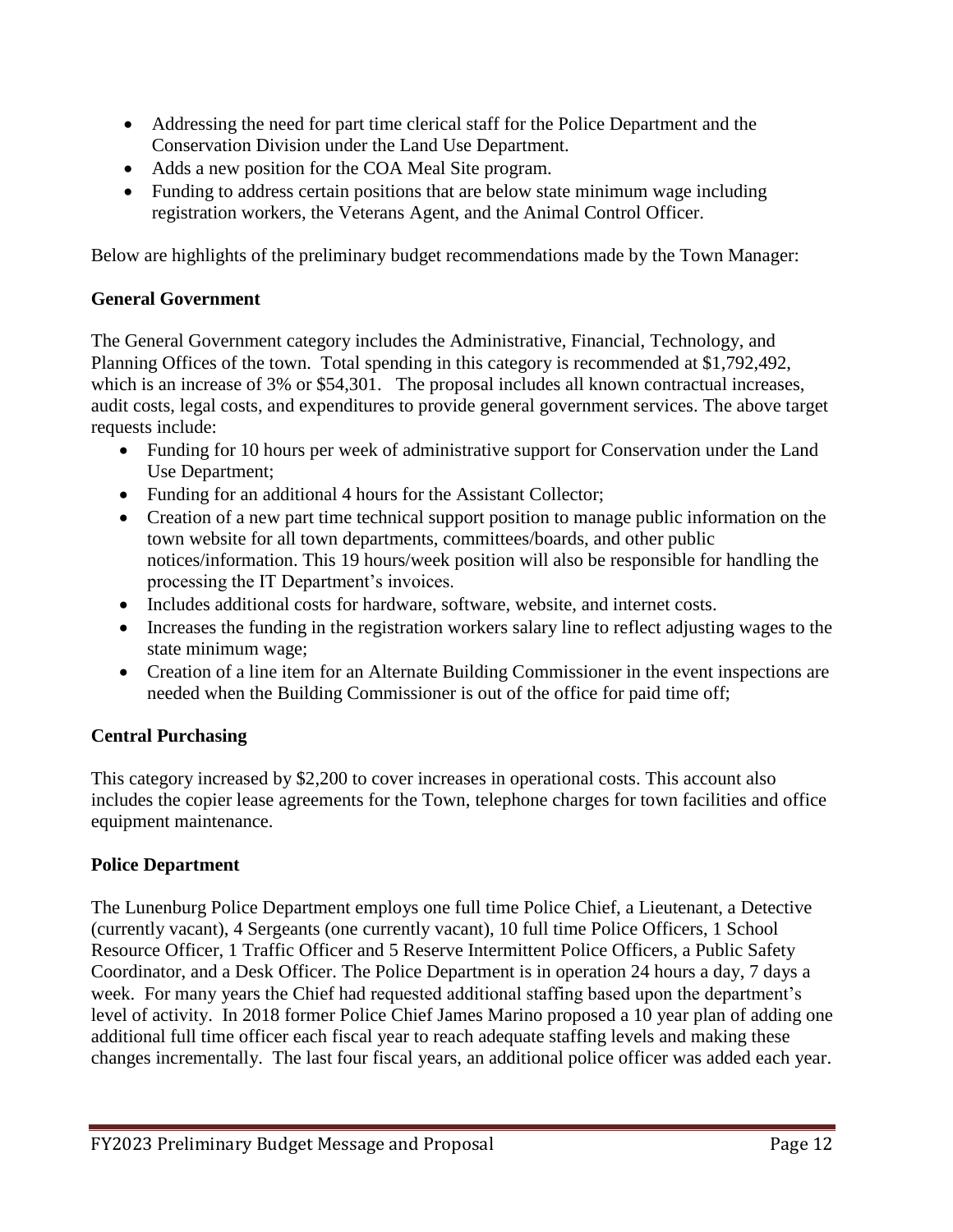- Addressing the need for part time clerical staff for the Police Department and the Conservation Division under the Land Use Department.
- Adds a new position for the COA Meal Site program.
- Funding to address certain positions that are below state minimum wage including registration workers, the Veterans Agent, and the Animal Control Officer.

Below are highlights of the preliminary budget recommendations made by the Town Manager:

#### **General Government**

The General Government category includes the Administrative, Financial, Technology, and Planning Offices of the town. Total spending in this category is recommended at \$1,792,492, which is an increase of 3% or \$54,301. The proposal includes all known contractual increases, audit costs, legal costs, and expenditures to provide general government services. The above target requests include:

- Funding for 10 hours per week of administrative support for Conservation under the Land Use Department;
- Funding for an additional 4 hours for the Assistant Collector;
- Creation of a new part time technical support position to manage public information on the town website for all town departments, committees/boards, and other public notices/information. This 19 hours/week position will also be responsible for handling the processing the IT Department's invoices.
- Includes additional costs for hardware, software, website, and internet costs.
- Increases the funding in the registration workers salary line to reflect adjusting wages to the state minimum wage;
- Creation of a line item for an Alternate Building Commissioner in the event inspections are needed when the Building Commissioner is out of the office for paid time off;

#### **Central Purchasing**

This category increased by \$2,200 to cover increases in operational costs. This account also includes the copier lease agreements for the Town, telephone charges for town facilities and office equipment maintenance.

#### **Police Department**

The Lunenburg Police Department employs one full time Police Chief, a Lieutenant, a Detective (currently vacant), 4 Sergeants (one currently vacant), 10 full time Police Officers, 1 School Resource Officer, 1 Traffic Officer and 5 Reserve Intermittent Police Officers, a Public Safety Coordinator, and a Desk Officer. The Police Department is in operation 24 hours a day, 7 days a week. For many years the Chief had requested additional staffing based upon the department's level of activity. In 2018 former Police Chief James Marino proposed a 10 year plan of adding one additional full time officer each fiscal year to reach adequate staffing levels and making these changes incrementally. The last four fiscal years, an additional police officer was added each year.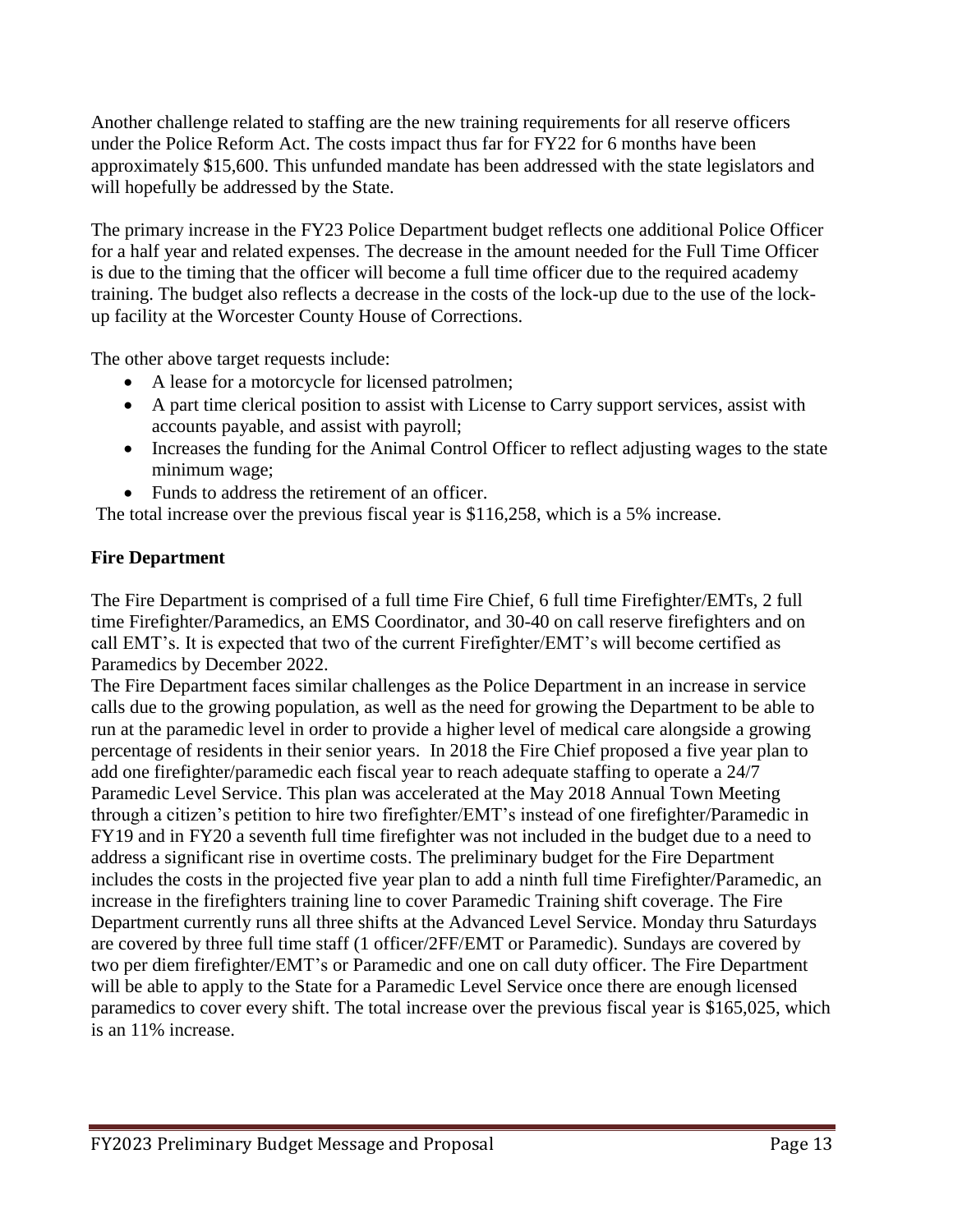Another challenge related to staffing are the new training requirements for all reserve officers under the Police Reform Act. The costs impact thus far for FY22 for 6 months have been approximately \$15,600. This unfunded mandate has been addressed with the state legislators and will hopefully be addressed by the State.

The primary increase in the FY23 Police Department budget reflects one additional Police Officer for a half year and related expenses. The decrease in the amount needed for the Full Time Officer is due to the timing that the officer will become a full time officer due to the required academy training. The budget also reflects a decrease in the costs of the lock-up due to the use of the lockup facility at the Worcester County House of Corrections.

The other above target requests include:

- A lease for a motorcycle for licensed patrolmen;
- A part time clerical position to assist with License to Carry support services, assist with accounts payable, and assist with payroll;
- Increases the funding for the Animal Control Officer to reflect adjusting wages to the state minimum wage;
- Funds to address the retirement of an officer.

The total increase over the previous fiscal year is \$116,258, which is a 5% increase.

#### **Fire Department**

The Fire Department is comprised of a full time Fire Chief, 6 full time Firefighter/EMTs, 2 full time Firefighter/Paramedics, an EMS Coordinator, and 30-40 on call reserve firefighters and on call EMT's. It is expected that two of the current Firefighter/EMT's will become certified as Paramedics by December 2022.

The Fire Department faces similar challenges as the Police Department in an increase in service calls due to the growing population, as well as the need for growing the Department to be able to run at the paramedic level in order to provide a higher level of medical care alongside a growing percentage of residents in their senior years. In 2018 the Fire Chief proposed a five year plan to add one firefighter/paramedic each fiscal year to reach adequate staffing to operate a 24/7 Paramedic Level Service. This plan was accelerated at the May 2018 Annual Town Meeting through a citizen's petition to hire two firefighter/EMT's instead of one firefighter/Paramedic in FY19 and in FY20 a seventh full time firefighter was not included in the budget due to a need to address a significant rise in overtime costs. The preliminary budget for the Fire Department includes the costs in the projected five year plan to add a ninth full time Firefighter/Paramedic, an increase in the firefighters training line to cover Paramedic Training shift coverage. The Fire Department currently runs all three shifts at the Advanced Level Service. Monday thru Saturdays are covered by three full time staff (1 officer/2FF/EMT or Paramedic). Sundays are covered by two per diem firefighter/EMT's or Paramedic and one on call duty officer. The Fire Department will be able to apply to the State for a Paramedic Level Service once there are enough licensed paramedics to cover every shift. The total increase over the previous fiscal year is \$165,025, which is an 11% increase.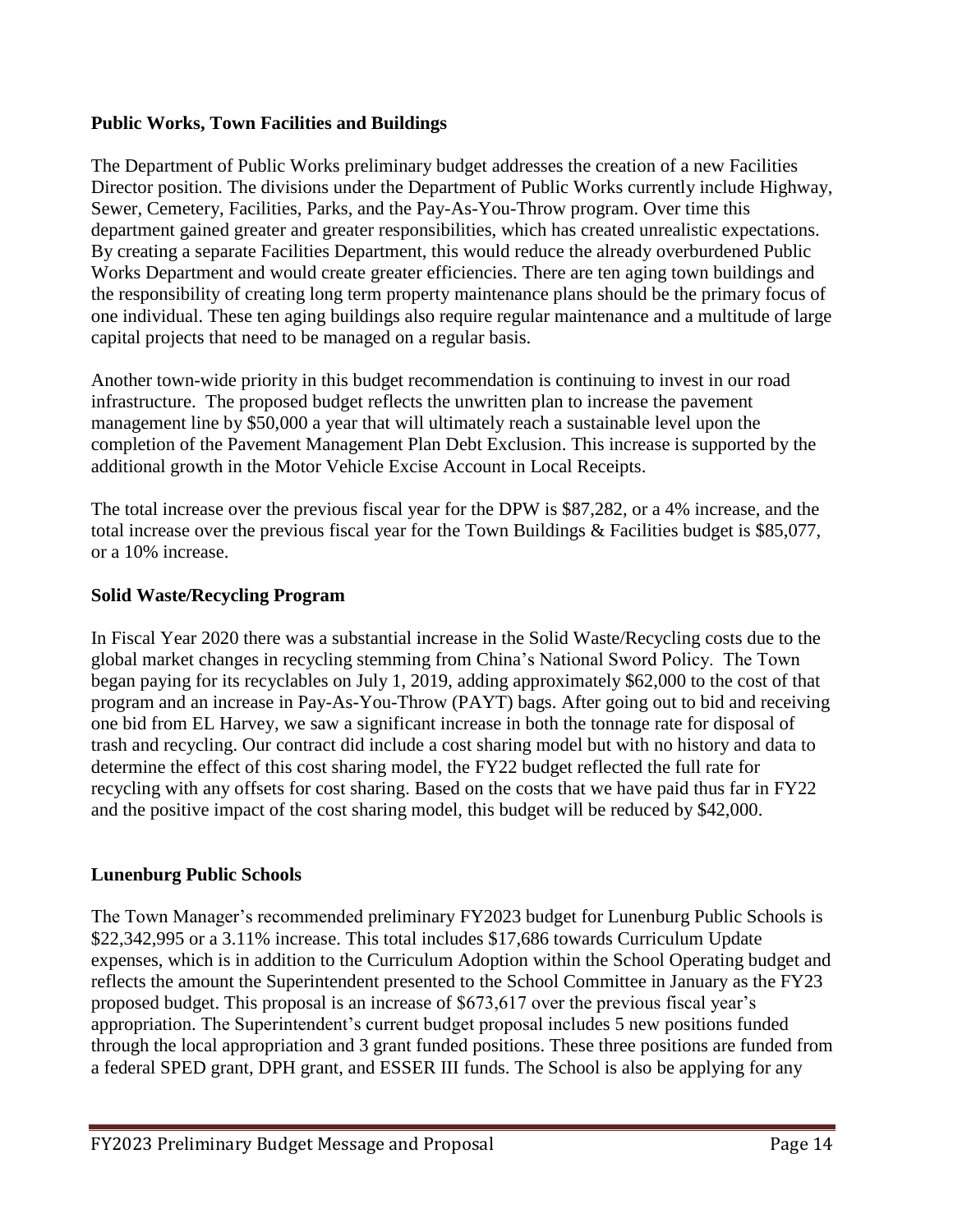#### **Public Works, Town Facilities and Buildings**

The Department of Public Works preliminary budget addresses the creation of a new Facilities Director position. The divisions under the Department of Public Works currently include Highway, Sewer, Cemetery, Facilities, Parks, and the Pay-As-You-Throw program. Over time this department gained greater and greater responsibilities, which has created unrealistic expectations. By creating a separate Facilities Department, this would reduce the already overburdened Public Works Department and would create greater efficiencies. There are ten aging town buildings and the responsibility of creating long term property maintenance plans should be the primary focus of one individual. These ten aging buildings also require regular maintenance and a multitude of large capital projects that need to be managed on a regular basis.

Another town-wide priority in this budget recommendation is continuing to invest in our road infrastructure. The proposed budget reflects the unwritten plan to increase the pavement management line by \$50,000 a year that will ultimately reach a sustainable level upon the completion of the Pavement Management Plan Debt Exclusion. This increase is supported by the additional growth in the Motor Vehicle Excise Account in Local Receipts.

The total increase over the previous fiscal year for the DPW is \$87,282, or a 4% increase, and the total increase over the previous fiscal year for the Town Buildings & Facilities budget is \$85,077, or a 10% increase.

#### **Solid Waste/Recycling Program**

In Fiscal Year 2020 there was a substantial increase in the Solid Waste/Recycling costs due to the global market changes in recycling stemming from China's National Sword Policy. The Town began paying for its recyclables on July 1, 2019, adding approximately \$62,000 to the cost of that program and an increase in Pay-As-You-Throw (PAYT) bags. After going out to bid and receiving one bid from EL Harvey, we saw a significant increase in both the tonnage rate for disposal of trash and recycling. Our contract did include a cost sharing model but with no history and data to determine the effect of this cost sharing model, the FY22 budget reflected the full rate for recycling with any offsets for cost sharing. Based on the costs that we have paid thus far in FY22 and the positive impact of the cost sharing model, this budget will be reduced by \$42,000.

#### **Lunenburg Public Schools**

The Town Manager's recommended preliminary FY2023 budget for Lunenburg Public Schools is \$22,342,995 or a 3.11% increase. This total includes \$17,686 towards Curriculum Update expenses, which is in addition to the Curriculum Adoption within the School Operating budget and reflects the amount the Superintendent presented to the School Committee in January as the FY23 proposed budget. This proposal is an increase of \$673,617 over the previous fiscal year's appropriation. The Superintendent's current budget proposal includes 5 new positions funded through the local appropriation and 3 grant funded positions. These three positions are funded from a federal SPED grant, DPH grant, and ESSER III funds. The School is also be applying for any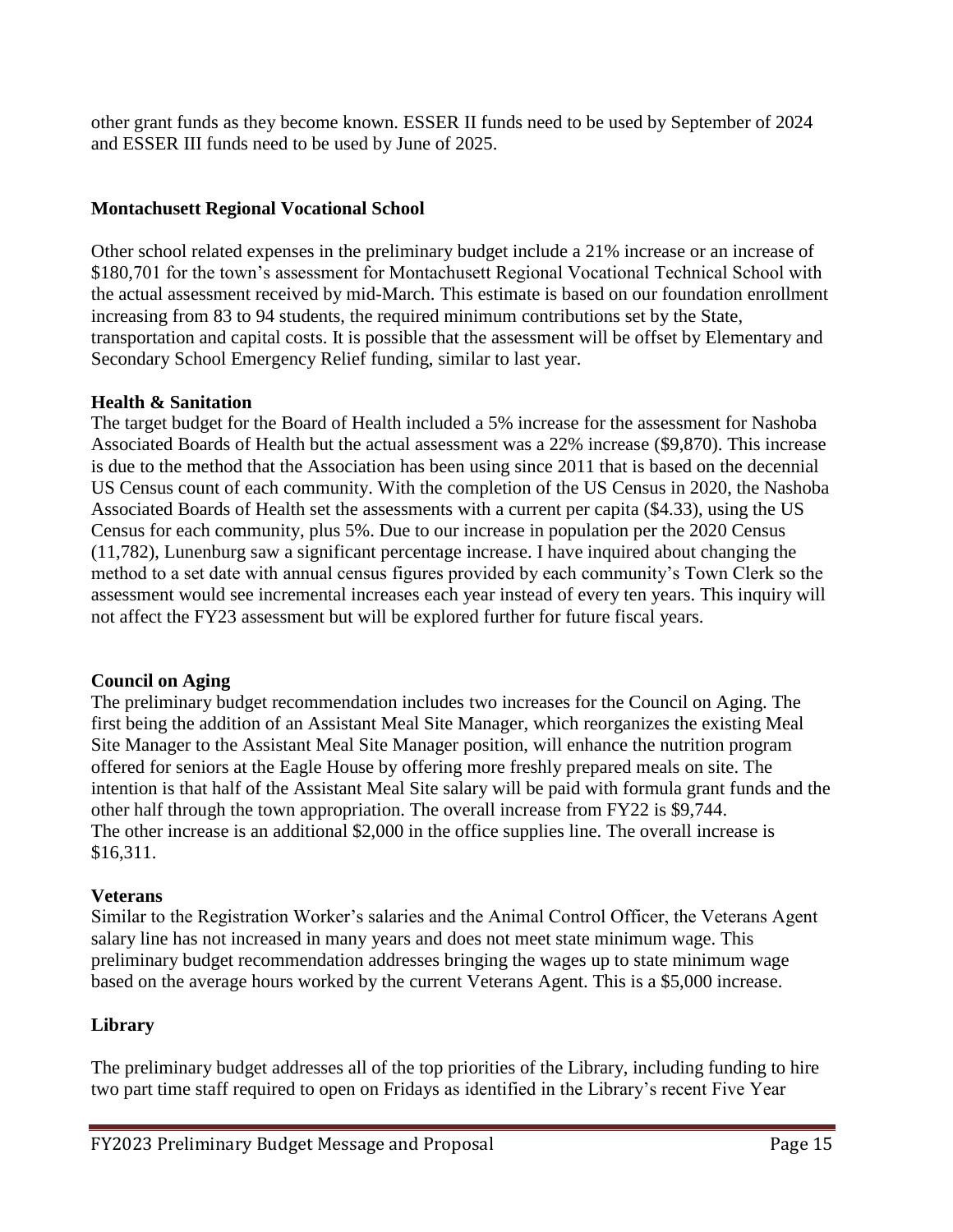other grant funds as they become known. ESSER II funds need to be used by September of 2024 and ESSER III funds need to be used by June of 2025.

#### **Montachusett Regional Vocational School**

Other school related expenses in the preliminary budget include a 21% increase or an increase of \$180,701 for the town's assessment for Montachusett Regional Vocational Technical School with the actual assessment received by mid-March. This estimate is based on our foundation enrollment increasing from 83 to 94 students, the required minimum contributions set by the State, transportation and capital costs. It is possible that the assessment will be offset by Elementary and Secondary School Emergency Relief funding, similar to last year.

#### **Health & Sanitation**

The target budget for the Board of Health included a 5% increase for the assessment for Nashoba Associated Boards of Health but the actual assessment was a 22% increase (\$9,870). This increase is due to the method that the Association has been using since 2011 that is based on the decennial US Census count of each community. With the completion of the US Census in 2020, the Nashoba Associated Boards of Health set the assessments with a current per capita (\$4.33), using the US Census for each community, plus 5%. Due to our increase in population per the 2020 Census (11,782), Lunenburg saw a significant percentage increase. I have inquired about changing the method to a set date with annual census figures provided by each community's Town Clerk so the assessment would see incremental increases each year instead of every ten years. This inquiry will not affect the FY23 assessment but will be explored further for future fiscal years.

#### **Council on Aging**

The preliminary budget recommendation includes two increases for the Council on Aging. The first being the addition of an Assistant Meal Site Manager, which reorganizes the existing Meal Site Manager to the Assistant Meal Site Manager position, will enhance the nutrition program offered for seniors at the Eagle House by offering more freshly prepared meals on site. The intention is that half of the Assistant Meal Site salary will be paid with formula grant funds and the other half through the town appropriation. The overall increase from FY22 is \$9,744. The other increase is an additional \$2,000 in the office supplies line. The overall increase is \$16,311.

#### **Veterans**

Similar to the Registration Worker's salaries and the Animal Control Officer, the Veterans Agent salary line has not increased in many years and does not meet state minimum wage. This preliminary budget recommendation addresses bringing the wages up to state minimum wage based on the average hours worked by the current Veterans Agent. This is a \$5,000 increase.

#### **Library**

The preliminary budget addresses all of the top priorities of the Library, including funding to hire two part time staff required to open on Fridays as identified in the Library's recent Five Year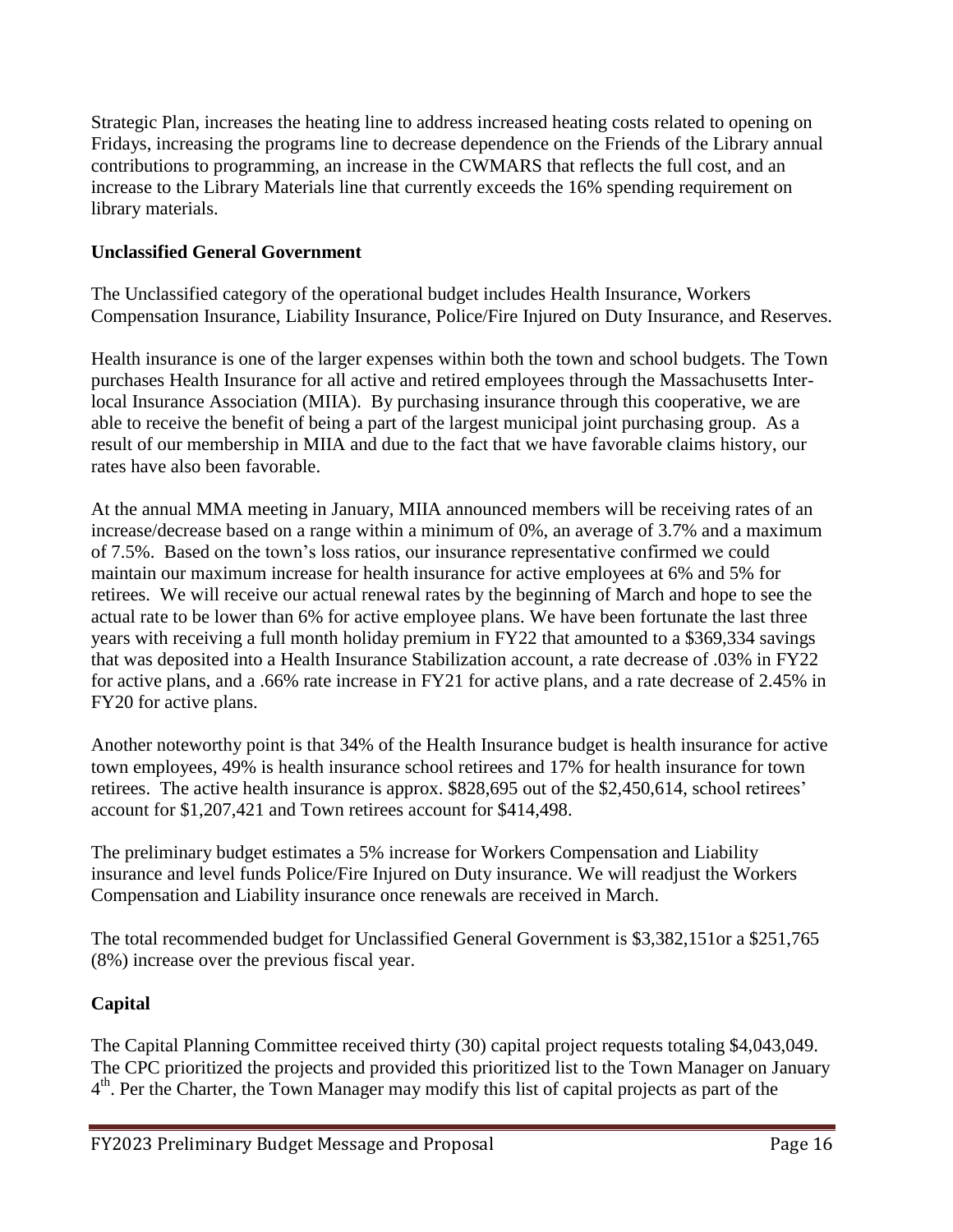Strategic Plan, increases the heating line to address increased heating costs related to opening on Fridays, increasing the programs line to decrease dependence on the Friends of the Library annual contributions to programming, an increase in the CWMARS that reflects the full cost, and an increase to the Library Materials line that currently exceeds the 16% spending requirement on library materials.

#### **Unclassified General Government**

The Unclassified category of the operational budget includes Health Insurance, Workers Compensation Insurance, Liability Insurance, Police/Fire Injured on Duty Insurance, and Reserves.

Health insurance is one of the larger expenses within both the town and school budgets. The Town purchases Health Insurance for all active and retired employees through the Massachusetts Interlocal Insurance Association (MIIA). By purchasing insurance through this cooperative, we are able to receive the benefit of being a part of the largest municipal joint purchasing group. As a result of our membership in MIIA and due to the fact that we have favorable claims history, our rates have also been favorable.

At the annual MMA meeting in January, MIIA announced members will be receiving rates of an increase/decrease based on a range within a minimum of 0%, an average of 3.7% and a maximum of 7.5%. Based on the town's loss ratios, our insurance representative confirmed we could maintain our maximum increase for health insurance for active employees at 6% and 5% for retirees. We will receive our actual renewal rates by the beginning of March and hope to see the actual rate to be lower than 6% for active employee plans. We have been fortunate the last three years with receiving a full month holiday premium in FY22 that amounted to a \$369,334 savings that was deposited into a Health Insurance Stabilization account, a rate decrease of .03% in FY22 for active plans, and a .66% rate increase in FY21 for active plans, and a rate decrease of 2.45% in FY20 for active plans.

Another noteworthy point is that 34% of the Health Insurance budget is health insurance for active town employees, 49% is health insurance school retirees and 17% for health insurance for town retirees. The active health insurance is approx. \$828,695 out of the \$2,450,614, school retirees' account for \$1,207,421 and Town retirees account for \$414,498.

The preliminary budget estimates a 5% increase for Workers Compensation and Liability insurance and level funds Police/Fire Injured on Duty insurance. We will readjust the Workers Compensation and Liability insurance once renewals are received in March.

The total recommended budget for Unclassified General Government is \$3,382,151or a \$251,765 (8%) increase over the previous fiscal year.

#### **Capital**

The Capital Planning Committee received thirty (30) capital project requests totaling \$4,043,049. The CPC prioritized the projects and provided this prioritized list to the Town Manager on January 4<sup>th</sup>. Per the Charter, the Town Manager may modify this list of capital projects as part of the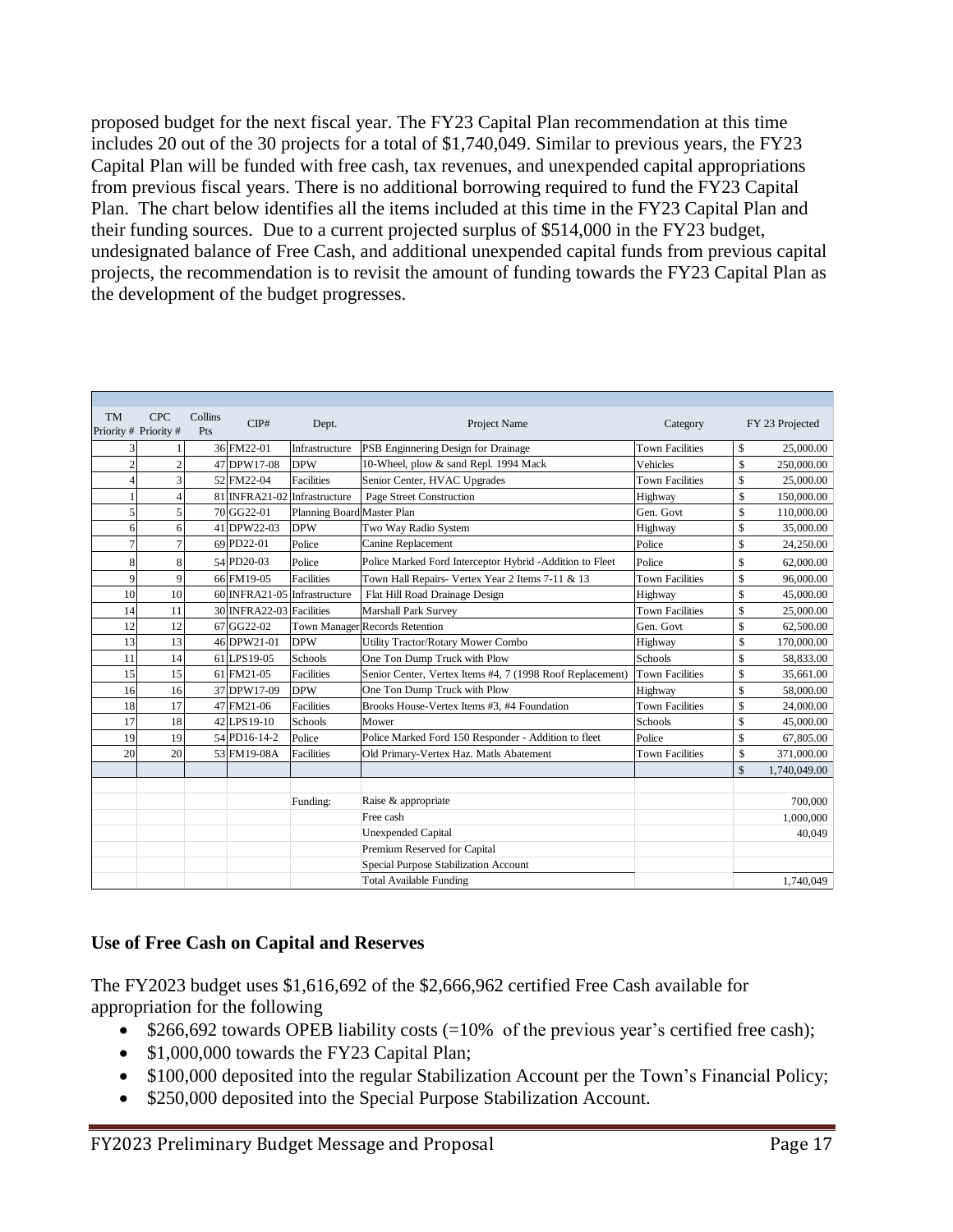proposed budget for the next fiscal year. The FY23 Capital Plan recommendation at this time includes 20 out of the 30 projects for a total of \$1,740,049. Similar to previous years, the FY23 Capital Plan will be funded with free cash, tax revenues, and unexpended capital appropriations from previous fiscal years. There is no additional borrowing required to fund the FY23 Capital Plan. The chart below identifies all the items included at this time in the FY23 Capital Plan and their funding sources. Due to a current projected surplus of \$514,000 in the FY23 budget, undesignated balance of Free Cash, and additional unexpended capital funds from previous capital projects, the recommendation is to revisit the amount of funding towards the FY23 Capital Plan as the development of the budget progresses.

| <b>TM</b>             | <b>CPC</b>      | Collins | CIP#                         | Dept.                      | Project Name                                              | Category               | FY 23 Projected    |
|-----------------------|-----------------|---------|------------------------------|----------------------------|-----------------------------------------------------------|------------------------|--------------------|
| Priority # Priority # |                 | Pts     |                              |                            |                                                           |                        |                    |
| 3                     |                 |         | 36 FM22-01                   | Infrastructure             | PSB Enginnering Design for Drainage                       | <b>Town Facilities</b> | \$<br>25,000.00    |
| $\overline{c}$        | $\overline{c}$  |         | 47 DPW17-08                  | <b>DPW</b>                 | 10-Wheel, plow & sand Repl. 1994 Mack                     | Vehicles               | \$<br>250,000.00   |
| $\overline{4}$        | 3               |         | 52 FM22-04                   | <b>Facilities</b>          | Senior Center, HVAC Upgrades                              | <b>Town Facilities</b> | \$<br>25,000.00    |
| $\mathbf{1}$          | 4               |         | 81 INFRA21-02 Infrastructure |                            | Page Street Construction                                  | Highway                | \$<br>150,000.00   |
| 5                     | 5               |         | 70 GG22-01                   | Planning Board Master Plan |                                                           | Gen. Govt              | \$<br>110,000.00   |
| 6                     | 6               |         | 41 DPW22-03                  | <b>DPW</b>                 | Two Way Radio System                                      | Highway                | \$<br>35,000.00    |
| $\overline{7}$        |                 |         | 69 PD22-01                   | Police                     | Canine Replacement                                        | Police                 | \$<br>24,250.00    |
| 8                     | 8               |         | 54 PD20-03                   | Police                     | Police Marked Ford Interceptor Hybrid -Addition to Fleet  | Police                 | \$<br>62,000.00    |
| 9                     | $\mathbf{Q}$    |         | 66 FM19-05                   | <b>Facilities</b>          | Town Hall Repairs- Vertex Year 2 Items 7-11 & 13          | <b>Town Facilities</b> | \$<br>96,000.00    |
| 10                    | 10 <sup>1</sup> |         | 60 INFRA21-05 Infrastructure |                            | Flat Hill Road Drainage Design                            | Highway                | \$<br>45,000.00    |
| 14                    | 11              |         | 30 INFRA22-03 Facilities     |                            | Marshall Park Survey                                      | <b>Town Facilities</b> | \$<br>25,000.00    |
| 12                    | 12              |         | $67 GG22-02$                 |                            | Town Manager Records Retention                            | Gen. Govt              | \$<br>62,500.00    |
| 13                    | 13              |         | 46 DPW21-01                  | <b>DPW</b>                 | Utility Tractor/Rotary Mower Combo                        | Highway                | \$<br>170,000.00   |
| 11                    | 14              |         | 61 LPS19-05                  | Schools                    | One Ton Dump Truck with Plow                              | Schools                | \$<br>58,833.00    |
| 15                    | 15              |         | 61 FM21-05                   | <b>Facilities</b>          | Senior Center, Vertex Items #4, 7 (1998 Roof Replacement) | <b>Town Facilities</b> | \$<br>35,661.00    |
| 16                    | 16              |         | 37 DPW17-09                  | <b>DPW</b>                 | One Ton Dump Truck with Plow                              | Highway                | \$<br>58,000.00    |
| 18                    | 17              |         | 47 FM21-06                   | <b>Facilities</b>          | Brooks House-Vertex Items #3, #4 Foundation               | <b>Town Facilities</b> | \$<br>24,000.00    |
| 17                    | 18              |         | 42 LPS19-10                  | Schools                    | Mower                                                     | Schools                | \$<br>45,000.00    |
| 19                    | 19              |         | 54 PD16-14-2                 | Police                     | Police Marked Ford 150 Responder - Addition to fleet      | Police                 | \$<br>67,805.00    |
| 20                    | 20              |         | 53 FM19-08A                  | <b>Facilities</b>          | Old Primary-Vertex Haz. Matls Abatement                   | <b>Town Facilities</b> | \$<br>371,000.00   |
|                       |                 |         |                              |                            |                                                           |                        | \$<br>1,740,049.00 |
|                       |                 |         |                              |                            |                                                           |                        |                    |
|                       |                 |         |                              | Funding:                   | Raise & appropriate                                       |                        | 700,000            |
|                       |                 |         |                              |                            | Free cash                                                 |                        | 1,000,000          |
|                       |                 |         |                              |                            | <b>Unexpended Capital</b>                                 |                        | 40,049             |
|                       |                 |         |                              |                            | Premium Reserved for Capital                              |                        |                    |
|                       |                 |         |                              |                            | Special Purpose Stabilization Account                     |                        |                    |
|                       |                 |         |                              |                            | <b>Total Available Funding</b>                            |                        | 1,740,049          |

#### **Use of Free Cash on Capital and Reserves**

The FY2023 budget uses \$1,616,692 of the \$2,666,962 certified Free Cash available for appropriation for the following

- $\bullet$  \$266,692 towards OPEB liability costs (=10% of the previous year's certified free cash);
- \$1,000,000 towards the FY23 Capital Plan;
- \$100,000 deposited into the regular Stabilization Account per the Town's Financial Policy;
- \$250,000 deposited into the Special Purpose Stabilization Account.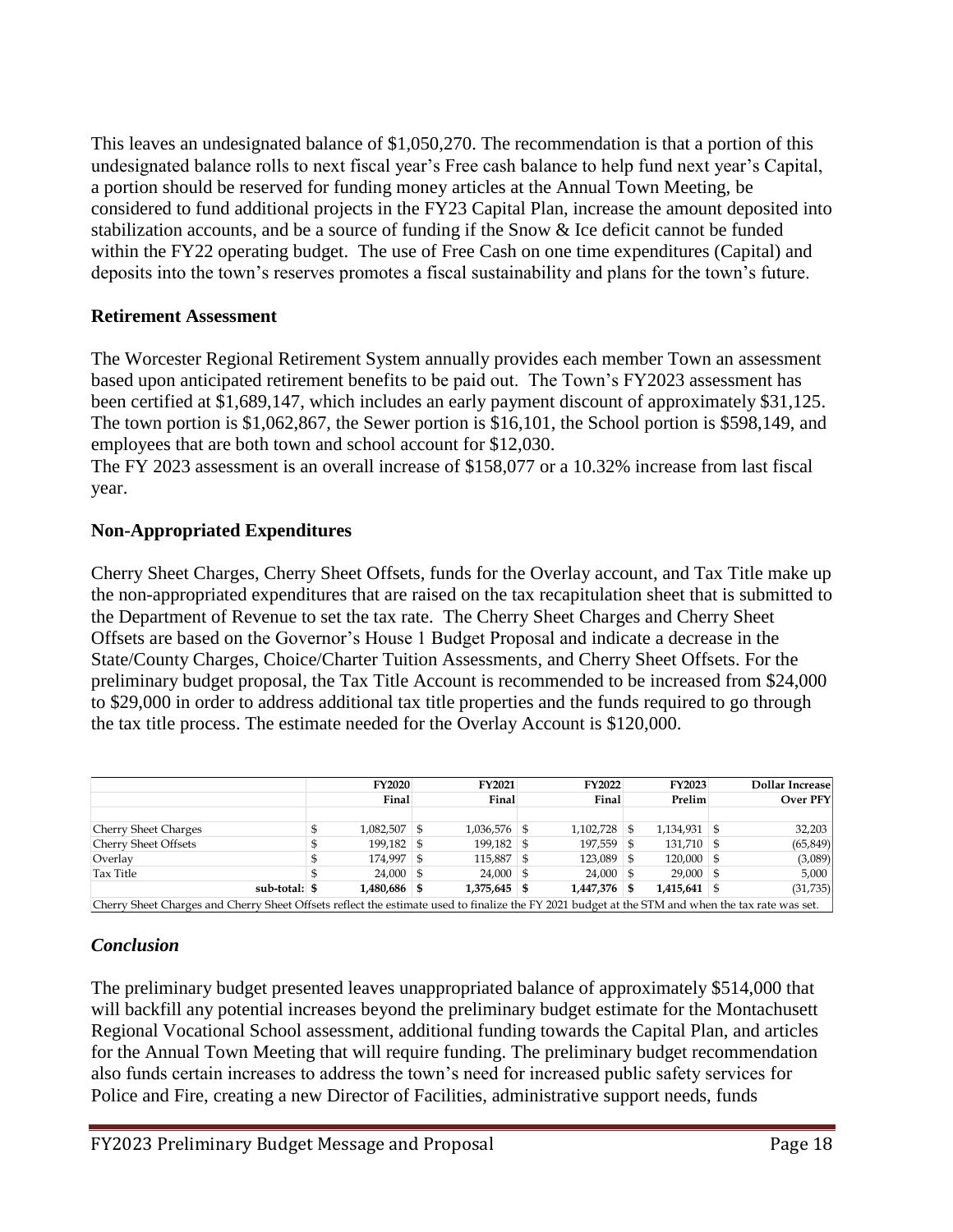This leaves an undesignated balance of \$1,050,270. The recommendation is that a portion of this undesignated balance rolls to next fiscal year's Free cash balance to help fund next year's Capital, a portion should be reserved for funding money articles at the Annual Town Meeting, be considered to fund additional projects in the FY23 Capital Plan, increase the amount deposited into stabilization accounts, and be a source of funding if the Snow & Ice deficit cannot be funded within the FY22 operating budget. The use of Free Cash on one time expenditures (Capital) and deposits into the town's reserves promotes a fiscal sustainability and plans for the town's future.

#### **Retirement Assessment**

The Worcester Regional Retirement System annually provides each member Town an assessment based upon anticipated retirement benefits to be paid out. The Town's FY2023 assessment has been certified at \$1,689,147, which includes an early payment discount of approximately \$31,125. The town portion is \$1,062,867, the Sewer portion is \$16,101, the School portion is \$598,149, and employees that are both town and school account for \$12,030.

The FY 2023 assessment is an overall increase of \$158,077 or a 10.32% increase from last fiscal year.

#### **Non-Appropriated Expenditures**

Cherry Sheet Charges, Cherry Sheet Offsets, funds for the Overlay account, and Tax Title make up the non-appropriated expenditures that are raised on the tax recapitulation sheet that is submitted to the Department of Revenue to set the tax rate. The Cherry Sheet Charges and Cherry Sheet Offsets are based on the Governor's House 1 Budget Proposal and indicate a decrease in the State/County Charges, Choice/Charter Tuition Assessments, and Cherry Sheet Offsets. For the preliminary budget proposal, the Tax Title Account is recommended to be increased from \$24,000 to \$29,000 in order to address additional tax title properties and the funds required to go through the tax title process. The estimate needed for the Overlay Account is \$120,000.

|                             |                                                                                                                                                  | <b>FY2020</b>  |  | <b>FY2021</b>  |  | <b>FY2022</b>  |        | <b>FY2023</b>  |                 | <b>Dollar Increase</b> |  |  |
|-----------------------------|--------------------------------------------------------------------------------------------------------------------------------------------------|----------------|--|----------------|--|----------------|--------|----------------|-----------------|------------------------|--|--|
|                             |                                                                                                                                                  | Final          |  | Final          |  | Final          | Prelim |                | <b>Over PFY</b> |                        |  |  |
|                             |                                                                                                                                                  |                |  |                |  |                |        |                |                 |                        |  |  |
| <b>Cherry Sheet Charges</b> |                                                                                                                                                  | $1,082,507$ \$ |  | $1,036,576$ \$ |  | $1.102.728$ \$ |        | $1,134,931$ \$ |                 | 32,203                 |  |  |
| <b>Cherry Sheet Offsets</b> |                                                                                                                                                  | $199,182$ \$   |  | $199,182$ \$   |  | $197,559$ \$   |        | $131,710$ \$   |                 | (65, 849)              |  |  |
| Overlay                     |                                                                                                                                                  | 174.997 \$     |  | $115.887$ \$   |  | $123.089$ \$   |        | $120,000$ \$   |                 | (3,089)                |  |  |
| Tax Title                   |                                                                                                                                                  | $24,000$ \$    |  | $24,000$ \$    |  | $24,000$ \$    |        | $29,000$ \$    |                 | 5,000                  |  |  |
| sub-total: \$               |                                                                                                                                                  | 1,480,686 \$   |  | $1,375,645$ \$ |  | 1.447.376 \$   |        | $1,415,641$ \$ |                 | (31,735)               |  |  |
|                             | Cherry Sheet Charges and Cherry Sheet Offsets reflect the estimate used to finalize the FY 2021 budget at the STM and when the tax rate was set. |                |  |                |  |                |        |                |                 |                        |  |  |

#### *Conclusion*

The preliminary budget presented leaves unappropriated balance of approximately \$514,000 that will backfill any potential increases beyond the preliminary budget estimate for the Montachusett Regional Vocational School assessment, additional funding towards the Capital Plan, and articles for the Annual Town Meeting that will require funding. The preliminary budget recommendation also funds certain increases to address the town's need for increased public safety services for Police and Fire, creating a new Director of Facilities, administrative support needs, funds